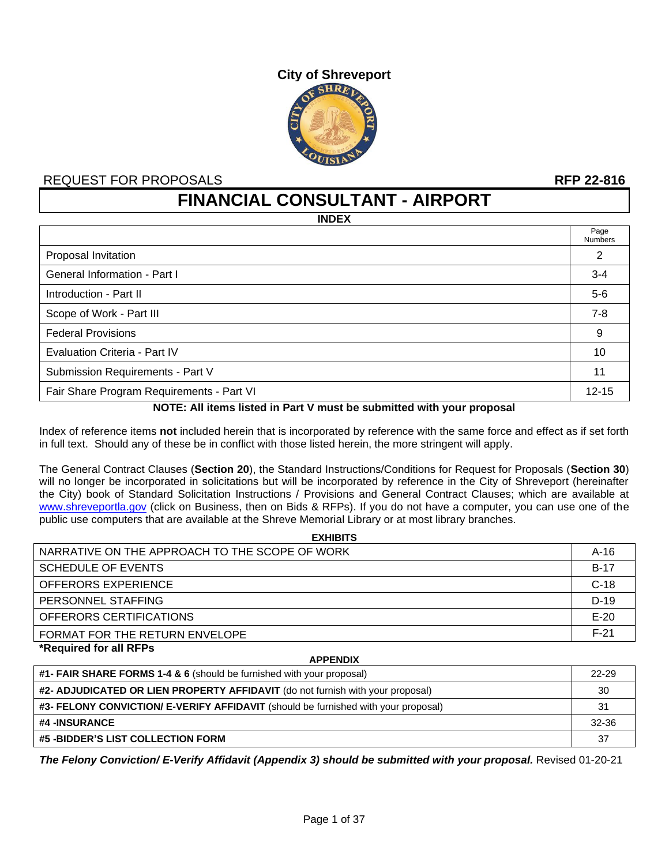

### REQUEST FOR PROPOSALS **RFP 22-816**

**FINANCIAL CONSULTANT - AIRPORT**

**INDEX**

|                                           | Page<br><b>Numbers</b> |
|-------------------------------------------|------------------------|
| Proposal Invitation                       | 2                      |
| General Information - Part I              | $3 - 4$                |
| Introduction - Part II                    | $5-6$                  |
| Scope of Work - Part III                  | $7 - 8$                |
| <b>Federal Provisions</b>                 | 9                      |
| Evaluation Criteria - Part IV             | 10                     |
| Submission Requirements - Part V          | 11                     |
| Fair Share Program Requirements - Part VI | $12 - 15$              |

#### **NOTE: All items listed in Part V must be submitted with your proposal**

Index of reference items **not** included herein that is incorporated by reference with the same force and effect as if set forth in full text. Should any of these be in conflict with those listed herein, the more stringent will apply.

The General Contract Clauses (**Section 20**), the Standard Instructions/Conditions for Request for Proposals (**Section 30**) will no longer be incorporated in solicitations but will be incorporated by reference in the City of Shreveport (hereinafter the City) book of Standard Solicitation Instructions / Provisions and General Contract Clauses; which are available at [www.shreveportla.gov](http://www.shreveportla.gov/) (click on Business, then on Bids & RFPs). If you do not have a computer, you can use one of the public use computers that are available at the Shreve Memorial Library or at most library branches.

| <b>EXHIBITS</b>                                |        |
|------------------------------------------------|--------|
| NARRATIVE ON THE APPROACH TO THE SCOPE OF WORK | $A-16$ |
| <b>SCHEDULE OF EVENTS</b>                      | $B-17$ |
| OFFERORS EXPERIENCE                            | $C-18$ |
| PERSONNEL STAFFING                             | $D-19$ |
| OFFERORS CERTIFICATIONS                        | $E-20$ |
| FORMAT FOR THE RETURN ENVELOPE                 | $F-21$ |
| *Required for all RFPs                         |        |

| <b>APPENDIX</b>                                                                           |           |
|-------------------------------------------------------------------------------------------|-----------|
| <b>#1- FAIR SHARE FORMS 1-4 &amp; 6</b> (should be furnished with your proposal)          | $22 - 29$ |
| #2- ADJUDICATED OR LIEN PROPERTY AFFIDAVIT (do not furnish with your proposal)            | 30        |
| <b>#3- FELONY CONVICTION/ E-VERIFY AFFIDAVIT</b> (should be furnished with your proposal) | -31       |
| #4 -INSURANCE                                                                             | $32 - 36$ |
| #5 -BIDDER'S LIST COLLECTION FORM                                                         | 37        |

**APPENDIX**

*The Felony Conviction/ E-Verify Affidavit (Appendix 3) should be submitted with your proposal.* Revised 01-20-21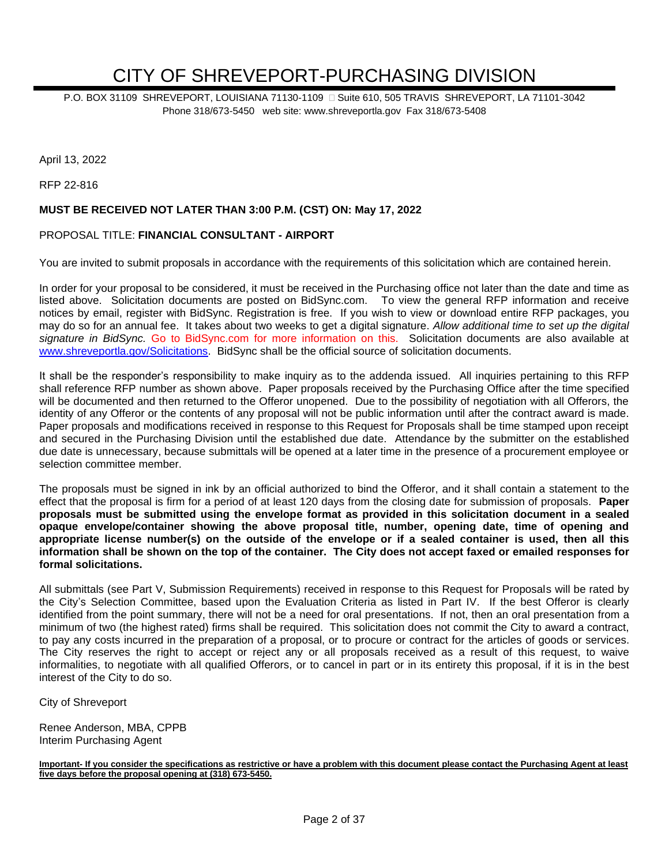# CITY OF SHREVEPORT-PURCHASING DIVISION

P.O. BOX 31109 SHREVEPORT, LOUISIANA 71130-1109 
G Suite 610, 505 TRAVIS SHREVEPORT, LA 71101-3042 Phone 318/673-5450 web site: www.shreveportla.gov Fax 318/673-5408

April 13, 2022

RFP 22-816

#### **MUST BE RECEIVED NOT LATER THAN 3:00 P.M. (CST) ON: May 17, 2022**

#### PROPOSAL TITLE: **FINANCIAL CONSULTANT - AIRPORT**

You are invited to submit proposals in accordance with the requirements of this solicitation which are contained herein.

In order for your proposal to be considered, it must be received in the Purchasing office not later than the date and time as listed above. Solicitation documents are posted on BidSync.com. To view the general RFP information and receive notices by email, register with BidSync. Registration is free. If you wish to view or download entire RFP packages, you may do so for an annual fee. It takes about two weeks to get a digital signature. *Allow additional time to set up the digital signature in BidSync.* Go to BidSync.com for more information on this. Solicitation documents are also available at [www.shreveportla.gov/Solicitations.](http://www.shreveportla.gov/Solicitations) BidSync shall be the official source of solicitation documents.

It shall be the responder's responsibility to make inquiry as to the addenda issued. All inquiries pertaining to this RFP shall reference RFP number as shown above. Paper proposals received by the Purchasing Office after the time specified will be documented and then returned to the Offeror unopened. Due to the possibility of negotiation with all Offerors, the identity of any Offeror or the contents of any proposal will not be public information until after the contract award is made. Paper proposals and modifications received in response to this Request for Proposals shall be time stamped upon receipt and secured in the Purchasing Division until the established due date. Attendance by the submitter on the established due date is unnecessary, because submittals will be opened at a later time in the presence of a procurement employee or selection committee member.

The proposals must be signed in ink by an official authorized to bind the Offeror, and it shall contain a statement to the effect that the proposal is firm for a period of at least 120 days from the closing date for submission of proposals. **Paper proposals must be submitted using the envelope format as provided in this solicitation document in a sealed opaque envelope/container showing the above proposal title, number, opening date, time of opening and appropriate license number(s) on the outside of the envelope or if a sealed container is used, then all this information shall be shown on the top of the container. The City does not accept faxed or emailed responses for formal solicitations.**

All submittals (see Part V, Submission Requirements) received in response to this Request for Proposals will be rated by the City's Selection Committee, based upon the Evaluation Criteria as listed in Part IV. If the best Offeror is clearly identified from the point summary, there will not be a need for oral presentations. If not, then an oral presentation from a minimum of two (the highest rated) firms shall be required. This solicitation does not commit the City to award a contract, to pay any costs incurred in the preparation of a proposal, or to procure or contract for the articles of goods or services. The City reserves the right to accept or reject any or all proposals received as a result of this request, to waive informalities, to negotiate with all qualified Offerors, or to cancel in part or in its entirety this proposal, if it is in the best interest of the City to do so.

City of Shreveport

Renee Anderson, MBA, CPPB Interim Purchasing Agent

**Important- If you consider the specifications as restrictive or have a problem with this document please contact the Purchasing Agent at least five days before the proposal opening at (318) 673-5450.**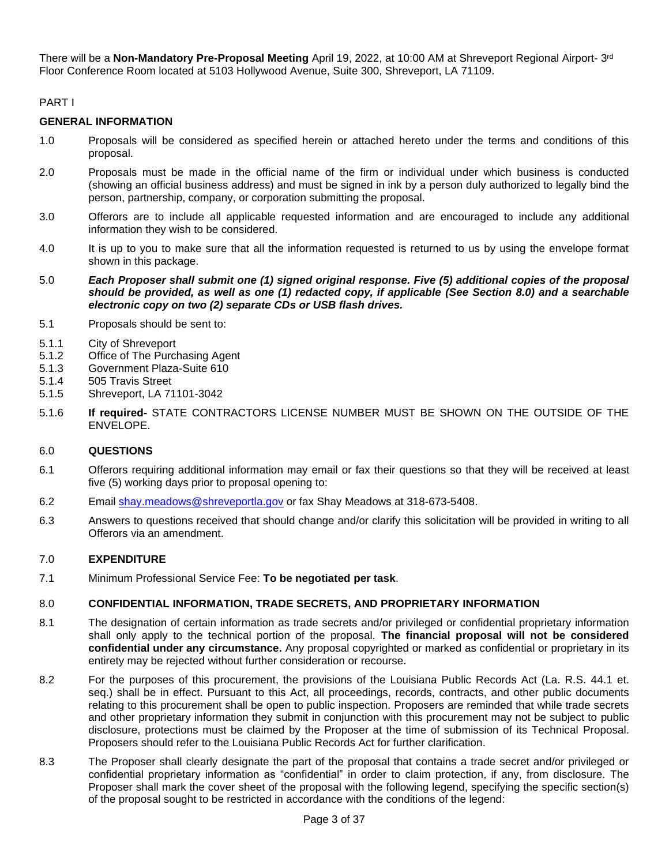There will be a **Non-Mandatory Pre-Proposal Meeting** April 19, 2022, at 10:00 AM at Shreveport Regional Airport- 3<sup>rd</sup> Floor Conference Room located at 5103 Hollywood Avenue, Suite 300, Shreveport, LA 71109.

#### PART I

#### **GENERAL INFORMATION**

- 1.0 Proposals will be considered as specified herein or attached hereto under the terms and conditions of this proposal.
- 2.0 Proposals must be made in the official name of the firm or individual under which business is conducted (showing an official business address) and must be signed in ink by a person duly authorized to legally bind the person, partnership, company, or corporation submitting the proposal.
- 3.0 Offerors are to include all applicable requested information and are encouraged to include any additional information they wish to be considered.
- 4.0 It is up to you to make sure that all the information requested is returned to us by using the envelope format shown in this package.
- 5.0 *Each Proposer shall submit one (1) signed original response. Five (5) additional copies of the proposal should be provided, as well as one (1) redacted copy, if applicable (See Section 8.0) and a searchable electronic copy on two (2) separate CDs or USB flash drives.*
- 5.1 Proposals should be sent to:
- 5.1.1 City of Shreveport
- 5.1.2 Office of The Purchasing Agent
- 5.1.3 Government Plaza-Suite 610
- 5.1.4 505 Travis Street
- 5.1.5 Shreveport, LA 71101-3042
- 5.1.6 **If required-** STATE CONTRACTORS LICENSE NUMBER MUST BE SHOWN ON THE OUTSIDE OF THE ENVELOPE.

#### 6.0 **QUESTIONS**

- 6.1 Offerors requiring additional information may email or fax their questions so that they will be received at least five (5) working days prior to proposal opening to:
- 6.2 Email [shay.meadows@shreveportla.gov](mailto:shay.meadows@shreveportla.gov) or fax Shay Meadows at 318-673-5408.
- 6.3 Answers to questions received that should change and/or clarify this solicitation will be provided in writing to all Offerors via an amendment.

#### 7.0 **EXPENDITURE**

7.1 Minimum Professional Service Fee: **To be negotiated per task**.

#### 8.0 **CONFIDENTIAL INFORMATION, TRADE SECRETS, AND PROPRIETARY INFORMATION**

- 8.1 The designation of certain information as trade secrets and/or privileged or confidential proprietary information shall only apply to the technical portion of the proposal. **The financial proposal will not be considered confidential under any circumstance.** Any proposal copyrighted or marked as confidential or proprietary in its entirety may be rejected without further consideration or recourse.
- 8.2 For the purposes of this procurement, the provisions of the Louisiana Public Records Act (La. R.S. 44.1 et. seq.) shall be in effect. Pursuant to this Act, all proceedings, records, contracts, and other public documents relating to this procurement shall be open to public inspection. Proposers are reminded that while trade secrets and other proprietary information they submit in conjunction with this procurement may not be subject to public disclosure, protections must be claimed by the Proposer at the time of submission of its Technical Proposal. Proposers should refer to the Louisiana Public Records Act for further clarification.
- 8.3 The Proposer shall clearly designate the part of the proposal that contains a trade secret and/or privileged or confidential proprietary information as "confidential" in order to claim protection, if any, from disclosure. The Proposer shall mark the cover sheet of the proposal with the following legend, specifying the specific section(s) of the proposal sought to be restricted in accordance with the conditions of the legend: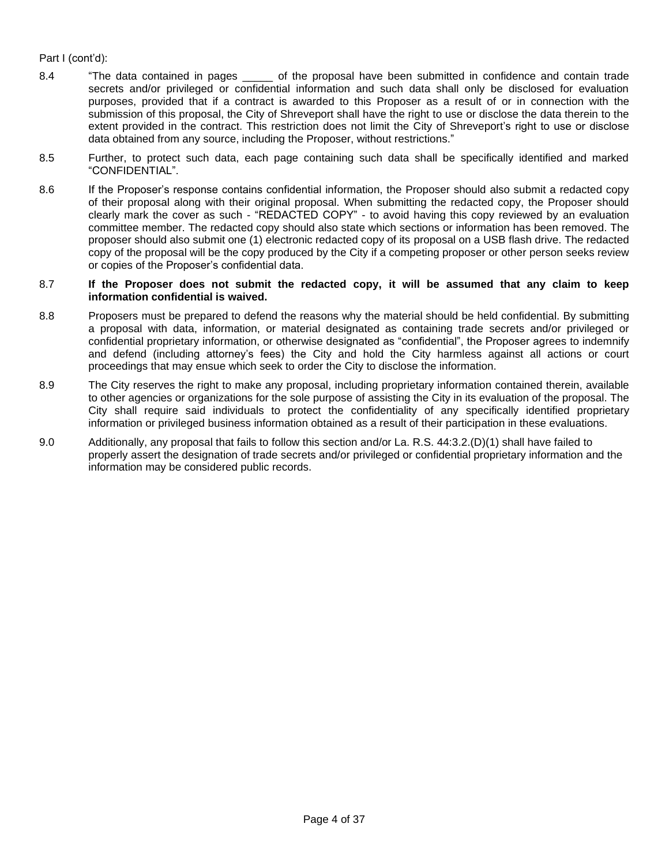#### Part I (cont'd):

- 8.4 "The data contained in pages \_\_\_\_\_ of the proposal have been submitted in confidence and contain trade secrets and/or privileged or confidential information and such data shall only be disclosed for evaluation purposes, provided that if a contract is awarded to this Proposer as a result of or in connection with the submission of this proposal, the City of Shreveport shall have the right to use or disclose the data therein to the extent provided in the contract. This restriction does not limit the City of Shreveport's right to use or disclose data obtained from any source, including the Proposer, without restrictions."
- 8.5 Further, to protect such data, each page containing such data shall be specifically identified and marked "CONFIDENTIAL".
- 8.6 If the Proposer's response contains confidential information, the Proposer should also submit a redacted copy of their proposal along with their original proposal. When submitting the redacted copy, the Proposer should clearly mark the cover as such - "REDACTED COPY" - to avoid having this copy reviewed by an evaluation committee member. The redacted copy should also state which sections or information has been removed. The proposer should also submit one (1) electronic redacted copy of its proposal on a USB flash drive. The redacted copy of the proposal will be the copy produced by the City if a competing proposer or other person seeks review or copies of the Proposer's confidential data.

#### 8.7 **If the Proposer does not submit the redacted copy, it will be assumed that any claim to keep information confidential is waived.**

- 8.8 Proposers must be prepared to defend the reasons why the material should be held confidential. By submitting a proposal with data, information, or material designated as containing trade secrets and/or privileged or confidential proprietary information, or otherwise designated as "confidential", the Proposer agrees to indemnify and defend (including attorney's fees) the City and hold the City harmless against all actions or court proceedings that may ensue which seek to order the City to disclose the information.
- 8.9 The City reserves the right to make any proposal, including proprietary information contained therein, available to other agencies or organizations for the sole purpose of assisting the City in its evaluation of the proposal. The City shall require said individuals to protect the confidentiality of any specifically identified proprietary information or privileged business information obtained as a result of their participation in these evaluations.
- 9.0 Additionally, any proposal that fails to follow this section and/or La. R.S. 44:3.2.(D)(1) shall have failed to properly assert the designation of trade secrets and/or privileged or confidential proprietary information and the information may be considered public records.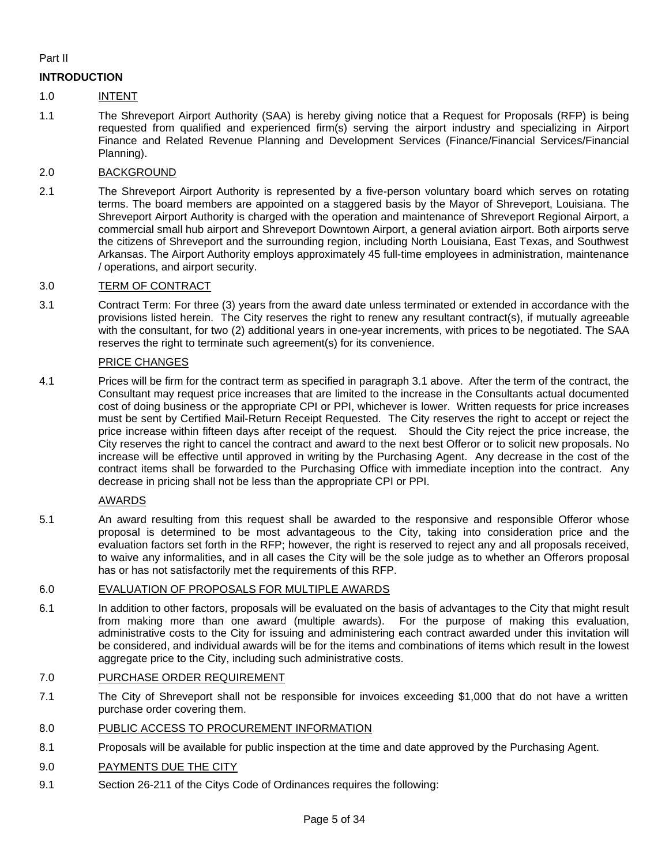#### Part II

#### **INTRODUCTION**

#### 1.0 INTENT

1.1 The Shreveport Airport Authority (SAA) is hereby giving notice that a Request for Proposals (RFP) is being requested from qualified and experienced firm(s) serving the airport industry and specializing in Airport Finance and Related Revenue Planning and Development Services (Finance/Financial Services/Financial Planning).

#### 2.0 BACKGROUND

2.1 The Shreveport Airport Authority is represented by a five-person voluntary board which serves on rotating terms. The board members are appointed on a staggered basis by the Mayor of Shreveport, Louisiana. The Shreveport Airport Authority is charged with the operation and maintenance of Shreveport Regional Airport, a commercial small hub airport and Shreveport Downtown Airport, a general aviation airport. Both airports serve the citizens of Shreveport and the surrounding region, including North Louisiana, East Texas, and Southwest Arkansas. The Airport Authority employs approximately 45 full-time employees in administration, maintenance / operations, and airport security.

#### 3.0 TERM OF CONTRACT

3.1 Contract Term: For three (3) years from the award date unless terminated or extended in accordance with the provisions listed herein. The City reserves the right to renew any resultant contract(s), if mutually agreeable with the consultant, for two (2) additional years in one-year increments, with prices to be negotiated. The SAA reserves the right to terminate such agreement(s) for its convenience.

#### PRICE CHANGES

4.1 Prices will be firm for the contract term as specified in paragraph 3.1 above. After the term of the contract, the Consultant may request price increases that are limited to the increase in the Consultants actual documented cost of doing business or the appropriate CPI or PPI, whichever is lower. Written requests for price increases must be sent by Certified Mail-Return Receipt Requested. The City reserves the right to accept or reject the price increase within fifteen days after receipt of the request. Should the City reject the price increase, the City reserves the right to cancel the contract and award to the next best Offeror or to solicit new proposals. No increase will be effective until approved in writing by the Purchasing Agent. Any decrease in the cost of the contract items shall be forwarded to the Purchasing Office with immediate inception into the contract. Any decrease in pricing shall not be less than the appropriate CPI or PPI.

#### AWARDS

5.1 An award resulting from this request shall be awarded to the responsive and responsible Offeror whose proposal is determined to be most advantageous to the City, taking into consideration price and the evaluation factors set forth in the RFP; however, the right is reserved to reject any and all proposals received, to waive any informalities, and in all cases the City will be the sole judge as to whether an Offerors proposal has or has not satisfactorily met the requirements of this RFP.

#### 6.0 EVALUATION OF PROPOSALS FOR MULTIPLE AWARDS

6.1 In addition to other factors, proposals will be evaluated on the basis of advantages to the City that might result from making more than one award (multiple awards). For the purpose of making this evaluation, administrative costs to the City for issuing and administering each contract awarded under this invitation will be considered, and individual awards will be for the items and combinations of items which result in the lowest aggregate price to the City, including such administrative costs.

#### 7.0 PURCHASE ORDER REQUIREMENT

- 7.1 The City of Shreveport shall not be responsible for invoices exceeding \$1,000 that do not have a written purchase order covering them.
- 8.0 PUBLIC ACCESS TO PROCUREMENT INFORMATION
- 8.1 Proposals will be available for public inspection at the time and date approved by the Purchasing Agent.

#### 9.0 PAYMENTS DUE THE CITY

9.1 Section 26-211 of the Citys Code of Ordinances requires the following: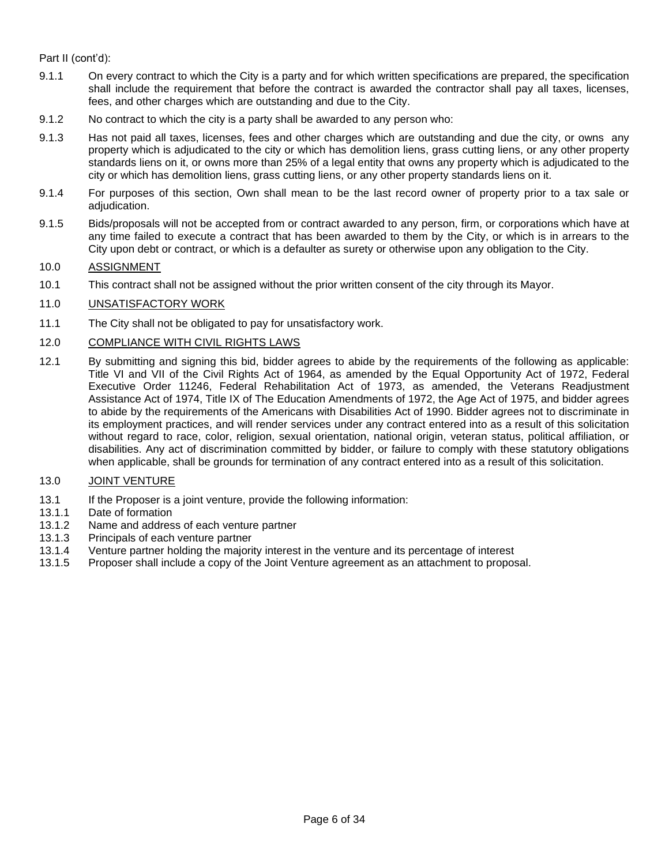#### Part II (cont'd):

- 9.1.1 On every contract to which the City is a party and for which written specifications are prepared, the specification shall include the requirement that before the contract is awarded the contractor shall pay all taxes, licenses, fees, and other charges which are outstanding and due to the City.
- 9.1.2 No contract to which the city is a party shall be awarded to any person who:
- 9.1.3 Has not paid all taxes, licenses, fees and other charges which are outstanding and due the city, or owns any property which is adjudicated to the city or which has demolition liens, grass cutting liens, or any other property standards liens on it, or owns more than 25% of a legal entity that owns any property which is adjudicated to the city or which has demolition liens, grass cutting liens, or any other property standards liens on it.
- 9.1.4 For purposes of this section, Own shall mean to be the last record owner of property prior to a tax sale or adjudication.
- 9.1.5 Bids/proposals will not be accepted from or contract awarded to any person, firm, or corporations which have at any time failed to execute a contract that has been awarded to them by the City, or which is in arrears to the City upon debt or contract, or which is a defaulter as surety or otherwise upon any obligation to the City.

#### 10.0 ASSIGNMENT

- 10.1 This contract shall not be assigned without the prior written consent of the city through its Mayor.
- 11.0 UNSATISFACTORY WORK
- 11.1 The City shall not be obligated to pay for unsatisfactory work.

#### 12.0 COMPLIANCE WITH CIVIL RIGHTS LAWS

12.1 By submitting and signing this bid, bidder agrees to abide by the requirements of the following as applicable: Title VI and VII of the Civil Rights Act of 1964, as amended by the Equal Opportunity Act of 1972, Federal Executive Order 11246, Federal Rehabilitation Act of 1973, as amended, the Veterans Readjustment Assistance Act of 1974, Title IX of The Education Amendments of 1972, the Age Act of 1975, and bidder agrees to abide by the requirements of the Americans with Disabilities Act of 1990. Bidder agrees not to discriminate in its employment practices, and will render services under any contract entered into as a result of this solicitation without regard to race, color, religion, sexual orientation, national origin, veteran status, political affiliation, or disabilities. Any act of discrimination committed by bidder, or failure to comply with these statutory obligations when applicable, shall be grounds for termination of any contract entered into as a result of this solicitation.

#### 13.0 JOINT VENTURE

- 13.1 If the Proposer is a joint venture, provide the following information:
- 13.1.1 Date of formation
- 13.1.2 Name and address of each venture partner
- 13.1.3 Principals of each venture partner
- 13.1.4 Venture partner holding the majority interest in the venture and its percentage of interest
- 13.1.5 Proposer shall include a copy of the Joint Venture agreement as an attachment to proposal.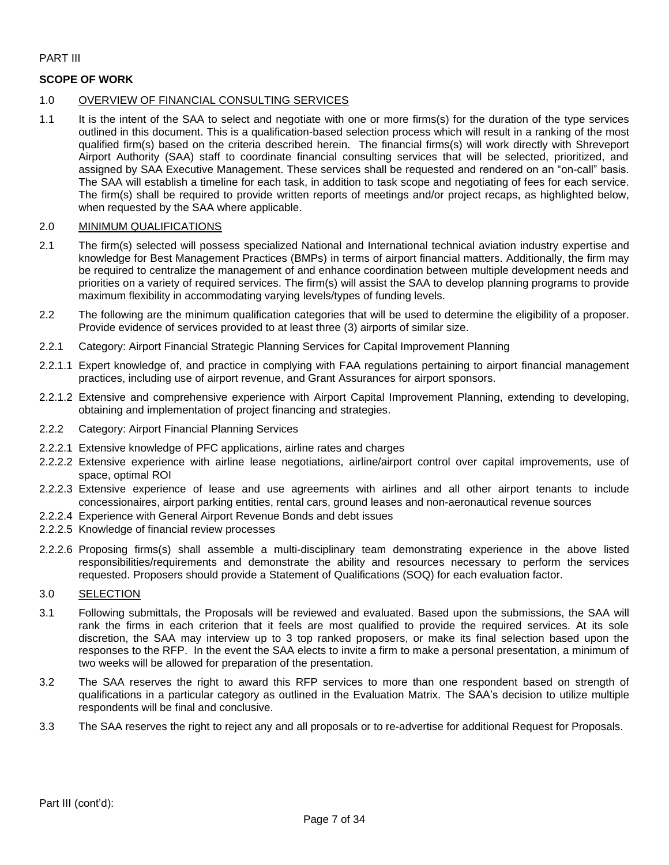#### PART III

#### **SCOPE OF WORK**

#### 1.0 OVERVIEW OF FINANCIAL CONSULTING SERVICES

1.1 It is the intent of the SAA to select and negotiate with one or more firms(s) for the duration of the type services outlined in this document. This is a qualification-based selection process which will result in a ranking of the most qualified firm(s) based on the criteria described herein. The financial firms(s) will work directly with Shreveport Airport Authority (SAA) staff to coordinate financial consulting services that will be selected, prioritized, and assigned by SAA Executive Management. These services shall be requested and rendered on an "on-call" basis. The SAA will establish a timeline for each task, in addition to task scope and negotiating of fees for each service. The firm(s) shall be required to provide written reports of meetings and/or project recaps, as highlighted below, when requested by the SAA where applicable.

#### 2.0 MINIMUM QUALIFICATIONS

- 2.1 The firm(s) selected will possess specialized National and International technical aviation industry expertise and knowledge for Best Management Practices (BMPs) in terms of airport financial matters. Additionally, the firm may be required to centralize the management of and enhance coordination between multiple development needs and priorities on a variety of required services. The firm(s) will assist the SAA to develop planning programs to provide maximum flexibility in accommodating varying levels/types of funding levels.
- 2.2 The following are the minimum qualification categories that will be used to determine the eligibility of a proposer. Provide evidence of services provided to at least three (3) airports of similar size.
- 2.2.1 Category: Airport Financial Strategic Planning Services for Capital Improvement Planning
- 2.2.1.1 Expert knowledge of, and practice in complying with FAA regulations pertaining to airport financial management practices, including use of airport revenue, and Grant Assurances for airport sponsors.
- 2.2.1.2 Extensive and comprehensive experience with Airport Capital Improvement Planning, extending to developing, obtaining and implementation of project financing and strategies.
- 2.2.2 Category: Airport Financial Planning Services
- 2.2.2.1 Extensive knowledge of PFC applications, airline rates and charges
- 2.2.2.2 Extensive experience with airline lease negotiations, airline/airport control over capital improvements, use of space, optimal ROI
- 2.2.2.3 Extensive experience of lease and use agreements with airlines and all other airport tenants to include concessionaires, airport parking entities, rental cars, ground leases and non-aeronautical revenue sources
- 2.2.2.4 Experience with General Airport Revenue Bonds and debt issues
- 2.2.2.5 Knowledge of financial review processes
- 2.2.2.6 Proposing firms(s) shall assemble a multi-disciplinary team demonstrating experience in the above listed responsibilities/requirements and demonstrate the ability and resources necessary to perform the services requested. Proposers should provide a Statement of Qualifications (SOQ) for each evaluation factor.

#### 3.0 SELECTION

- 3.1 Following submittals, the Proposals will be reviewed and evaluated. Based upon the submissions, the SAA will rank the firms in each criterion that it feels are most qualified to provide the required services. At its sole discretion, the SAA may interview up to 3 top ranked proposers, or make its final selection based upon the responses to the RFP. In the event the SAA elects to invite a firm to make a personal presentation, a minimum of two weeks will be allowed for preparation of the presentation.
- 3.2 The SAA reserves the right to award this RFP services to more than one respondent based on strength of qualifications in a particular category as outlined in the Evaluation Matrix. The SAA's decision to utilize multiple respondents will be final and conclusive.
- 3.3 The SAA reserves the right to reject any and all proposals or to re-advertise for additional Request for Proposals.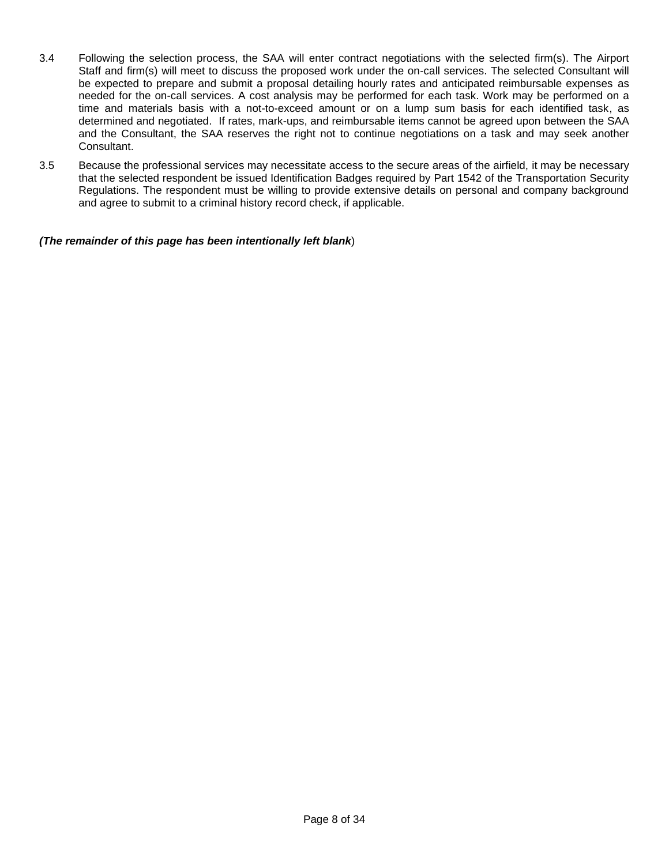- 3.4 Following the selection process, the SAA will enter contract negotiations with the selected firm(s). The Airport Staff and firm(s) will meet to discuss the proposed work under the on-call services. The selected Consultant will be expected to prepare and submit a proposal detailing hourly rates and anticipated reimbursable expenses as needed for the on-call services. A cost analysis may be performed for each task. Work may be performed on a time and materials basis with a not-to-exceed amount or on a lump sum basis for each identified task, as determined and negotiated. If rates, mark-ups, and reimbursable items cannot be agreed upon between the SAA and the Consultant, the SAA reserves the right not to continue negotiations on a task and may seek another Consultant.
- 3.5 Because the professional services may necessitate access to the secure areas of the airfield, it may be necessary that the selected respondent be issued Identification Badges required by Part 1542 of the Transportation Security Regulations. The respondent must be willing to provide extensive details on personal and company background and agree to submit to a criminal history record check, if applicable.

*(The remainder of this page has been intentionally left blank*)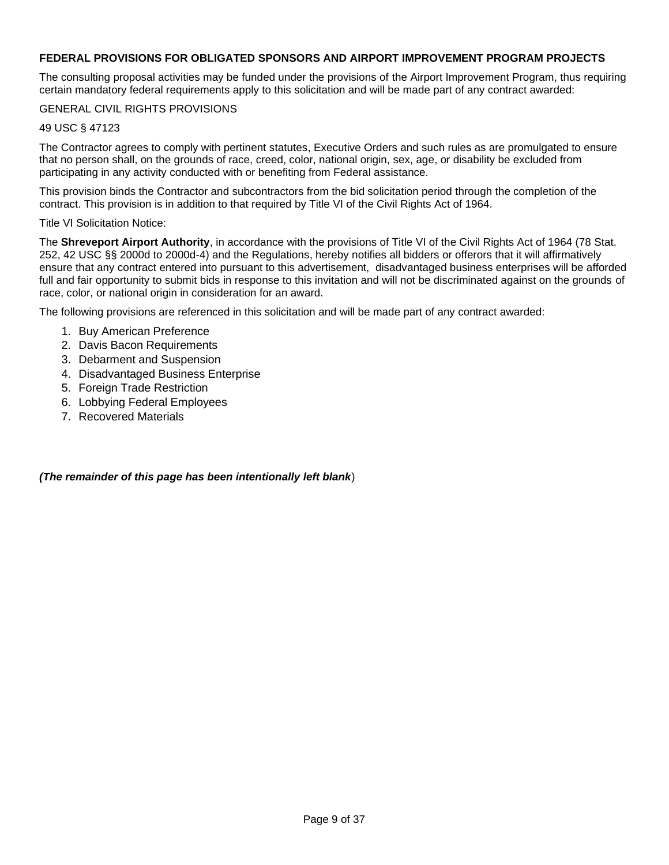#### **FEDERAL PROVISIONS FOR OBLIGATED SPONSORS AND AIRPORT IMPROVEMENT PROGRAM PROJECTS**

The consulting proposal activities may be funded under the provisions of the Airport Improvement Program, thus requiring certain mandatory federal requirements apply to this solicitation and will be made part of any contract awarded:

#### GENERAL CIVIL RIGHTS PROVISIONS

#### 49 USC § 47123

The Contractor agrees to comply with pertinent statutes, Executive Orders and such rules as are promulgated to ensure that no person shall, on the grounds of race, creed, color, national origin, sex, age, or disability be excluded from participating in any activity conducted with or benefiting from Federal assistance.

This provision binds the Contractor and subcontractors from the bid solicitation period through the completion of the contract. This provision is in addition to that required by Title VI of the Civil Rights Act of 1964.

Title VI Solicitation Notice:

The **Shreveport Airport Authority**, in accordance with the provisions of Title VI of the Civil Rights Act of 1964 (78 Stat. 252, 42 USC §§ 2000d to 2000d-4) and the Regulations, hereby notifies all bidders or offerors that it will affirmatively ensure that any contract entered into pursuant to this advertisement, disadvantaged business enterprises will be afforded full and fair opportunity to submit bids in response to this invitation and will not be discriminated against on the grounds of race, color, or national origin in consideration for an award.

The following provisions are referenced in this solicitation and will be made part of any contract awarded:

- 1. Buy American Preference
- 2. Davis Bacon Requirements
- 3. Debarment and Suspension
- 4. Disadvantaged Business Enterprise
- 5. Foreign Trade Restriction
- 6. Lobbying Federal Employees
- 7. Recovered Materials

*(The remainder of this page has been intentionally left blank*)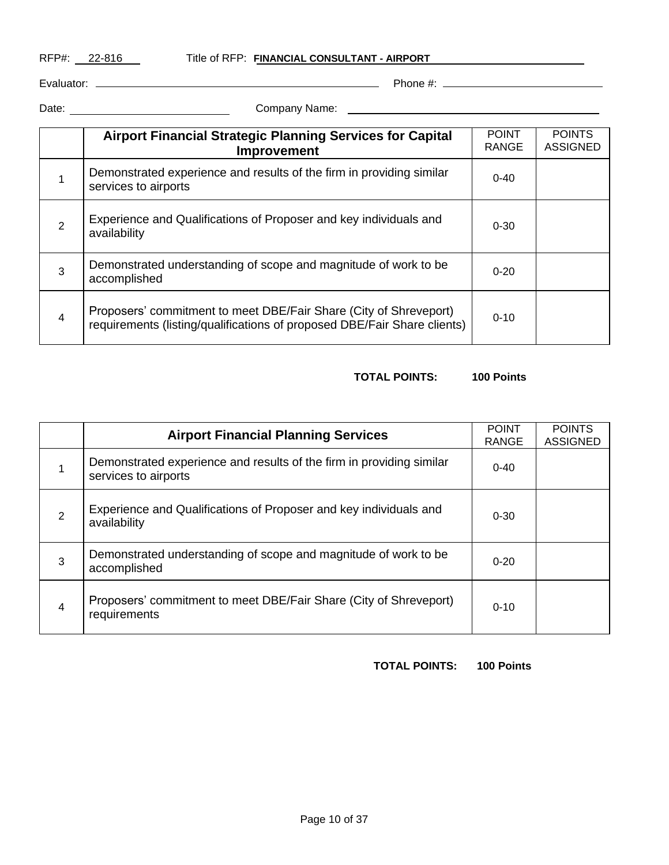RFP#: 22-816 Title of RFP: FINANCIAL CONSULTANT - AIRPORT

Evaluator: Phone #:

Date: Company Name:

|                | <b>Airport Financial Strategic Planning Services for Capital</b><br><b>Improvement</b>                                                        | <b>POINT</b><br><b>RANGE</b> | <b>POINTS</b><br><b>ASSIGNED</b> |
|----------------|-----------------------------------------------------------------------------------------------------------------------------------------------|------------------------------|----------------------------------|
|                | Demonstrated experience and results of the firm in providing similar<br>services to airports                                                  | $0 - 40$                     |                                  |
| 2              | Experience and Qualifications of Proposer and key individuals and<br>availability                                                             | $0 - 30$                     |                                  |
| 3              | Demonstrated understanding of scope and magnitude of work to be<br>accomplished                                                               | $0 - 20$                     |                                  |
| $\overline{4}$ | Proposers' commitment to meet DBE/Fair Share (City of Shreveport)<br>requirements (listing/qualifications of proposed DBE/Fair Share clients) | $0 - 10$                     |                                  |

### **TOTAL POINTS: 100 Points**

|                | <b>Airport Financial Planning Services</b>                                                   | <b>POINT</b><br><b>RANGE</b> | <b>POINTS</b><br><b>ASSIGNED</b> |
|----------------|----------------------------------------------------------------------------------------------|------------------------------|----------------------------------|
| 1              | Demonstrated experience and results of the firm in providing similar<br>services to airports | $0 - 40$                     |                                  |
| 2              | Experience and Qualifications of Proposer and key individuals and<br>availability            | $0 - 30$                     |                                  |
| 3              | Demonstrated understanding of scope and magnitude of work to be<br>accomplished              | $0 - 20$                     |                                  |
| $\overline{4}$ | Proposers' commitment to meet DBE/Fair Share (City of Shreveport)<br>requirements            | $0 - 10$                     |                                  |

**TOTAL POINTS: 100 Points**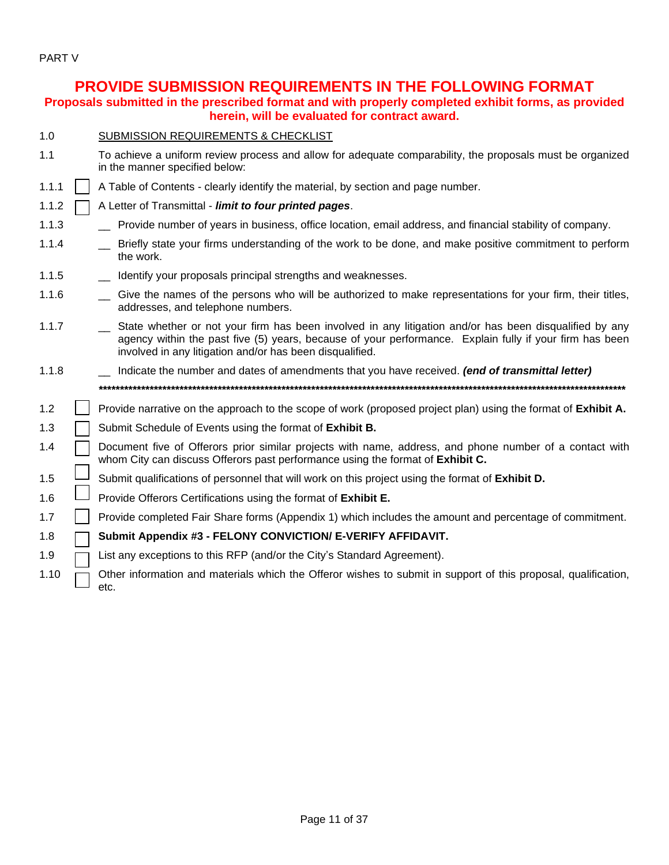PART V

### **PROVIDE SUBMISSION REQUIREMENTS IN THE FOLLOWING FORMAT**

**Proposals submitted in the prescribed format and with properly completed exhibit forms, as provided herein, will be evaluated for contract award.**

| $-1.0$ | <b>SUBMISSION REQUIREMENTS &amp; CHECKLIST</b> |  |  |  |
|--------|------------------------------------------------|--|--|--|
|        |                                                |  |  |  |

- 1.1 To achieve a uniform review process and allow for adequate comparability, the proposals must be organized in the manner specified below:
- 1.1.1 | A Table of Contents clearly identify the material, by section and page number.
- 1.1.2 A Letter of Transmittal *limit to four printed pages*.
- 1.1.3 \_\_ Provide number of years in business, office location, email address, and financial stability of company.
- 1.1.4 \_\_ Briefly state your firms understanding of the work to be done, and make positive commitment to perform the work.
- 1.1.5 \_\_ Identify your proposals principal strengths and weaknesses.
- 1.1.6 \_\_ Give the names of the persons who will be authorized to make representations for your firm, their titles, addresses, and telephone numbers.
- 1.1.7 \_\_ State whether or not your firm has been involved in any litigation and/or has been disqualified by any agency within the past five (5) years, because of your performance. Explain fully if your firm has been involved in any litigation and/or has been disqualified.
- 1.1.8 \_\_ Indicate the number and dates of amendments that you have received. *(end of transmittal letter) \*\*\*\*\*\*\*\*\*\*\*\*\*\*\*\*\*\*\*\*\*\*\*\*\*\*\*\*\*\*\*\*\*\*\*\*\*\*\*\*\*\*\*\*\*\*\*\*\*\*\*\*\*\*\*\*\*\*\*\*\*\*\*\*\*\*\*\*\*\*\*\*\*\*\*\*\*\*\*\*\*\*\*\*\*\*\*\*\*\*\*\*\*\*\*\*\*\*\*\*\*\*\*\*\*\*\*\*\*\*\*\*\*\*\*\*\*\*\*\*\*\*\*\**
- 1.2 Provide narrative on the approach to the scope of work (proposed project plan) using the format of **Exhibit A.**
- 1.3 Submit Schedule of Events using the format of **Exhibit B.**
- 1.4  $\Box$  Document five of Offerors prior similar projects with name, address, and phone number of a contact with whom City can discuss Offerors past performance using the format of **Exhibit C.**
- 1.5 Submit qualifications of personnel that will work on this project using the format of **Exhibit D.**
- 1.6  $\Box$  Provide Offerors Certifications using the format of **Exhibit E.**
- 1.7 **Provide completed Fair Share forms (Appendix 1) which includes the amount and percentage of commitment.**

#### 1.8 **Submit Appendix #3 - FELONY CONVICTION/ E-VERIFY AFFIDAVIT.**

- 1.9  $\Box$  List any exceptions to this RFP (and/or the City's Standard Agreement).
- 1.10  $\Box$  Other information and materials which the Offeror wishes to submit in support of this proposal, qualification, etc.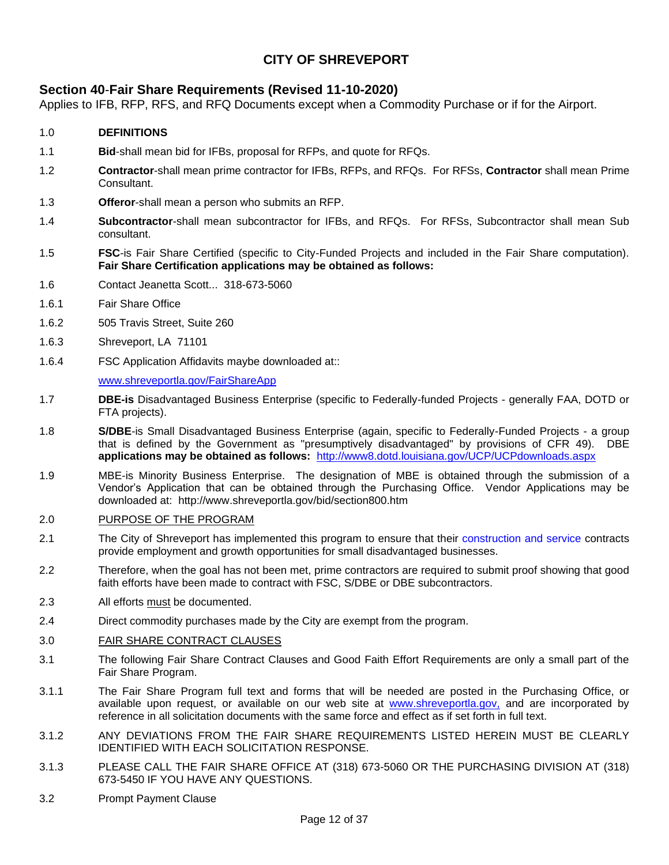### **CITY OF SHREVEPORT**

#### **[Section 40](http://www.ci.shreveport.la.us/pdf/bids/sect40.pdf)**-**Fair Share Requirements (Revised 11-10-2020)**

Applies to IFB, RFP, RFS, and RFQ Documents except when a Commodity Purchase or if for the Airport.

#### 1.0 **DEFINITIONS**

- 1.1 **Bid**-shall mean bid for IFBs, proposal for RFPs, and quote for RFQs.
- 1.2 **Contractor**-shall mean prime contractor for IFBs, RFPs, and RFQs. For RFSs, **Contractor** shall mean Prime **Consultant**
- 1.3 **Offeror**-shall mean a person who submits an RFP.
- 1.4 **Subcontractor**-shall mean subcontractor for IFBs, and RFQs. For RFSs, Subcontractor shall mean Sub consultant.
- 1.5 **FSC**-is Fair Share Certified (specific to City-Funded Projects and included in the Fair Share computation). **Fair Share Certification applications may be obtained as follows:**
- 1.6 Contact Jeanetta Scott... 318-673-5060
- 1.6.1 Fair Share Office
- 1.6.2 505 Travis Street, Suite 260
- 1.6.3 Shreveport, LA 71101
- 1.6.4 FSC Application Affidavits maybe downloaded at::

[www.shreveportla.gov/FairShareApp](http://www.shreveportla.gov/FairShareApp)

- 1.7 **DBE-is** Disadvantaged Business Enterprise (specific to Federally-funded Projects generally FAA, DOTD or FTA projects).
- 1.8 **S/DBE**-is Small Disadvantaged Business Enterprise (again, specific to Federally-Funded Projects a group that is defined by the Government as "presumptively disadvantaged" by provisions of CFR 49).DBE **applications may be obtained as follows:** <http://www8.dotd.louisiana.gov/UCP/UCPdownloads.aspx>
- 1.9 MBE-is Minority Business Enterprise. The designation of MBE is obtained through the submission of a Vendor's Application that can be obtained through the Purchasing Office. Vendor Applications may be downloaded at: http://www.shreveportla.gov/bid/section800.htm

#### 2.0 PURPOSE OF THE PROGRAM

- 2.1 The City of Shreveport has implemented this program to ensure that their construction and service contracts provide employment and growth opportunities for small disadvantaged businesses.
- 2.2 Therefore, when the goal has not been met, prime contractors are required to submit proof showing that good faith efforts have been made to contract with FSC, S/DBE or DBE subcontractors.
- 2.3 All efforts must be documented.
- 2.4 Direct commodity purchases made by the City are exempt from the program.

#### 3.0 FAIR SHARE CONTRACT CLAUSES

- 3.1 The following Fair Share Contract Clauses and Good Faith Effort Requirements are only a small part of the Fair Share Program.
- 3.1.1 The Fair Share Program full text and forms that will be needed are posted in the Purchasing Office, or available upon request, or available on our web site at www.shreveportla.gov, and are incorporated by reference in all solicitation documents with the same force and effect as if set forth in full text.
- 3.1.2 ANY DEVIATIONS FROM THE FAIR SHARE REQUIREMENTS LISTED HEREIN MUST BE CLEARLY IDENTIFIED WITH EACH SOLICITATION RESPONSE.
- 3.1.3 PLEASE CALL THE FAIR SHARE OFFICE AT (318) 673-5060 OR THE PURCHASING DIVISION AT (318) 673-5450 IF YOU HAVE ANY QUESTIONS.
- 3.2 Prompt Payment Clause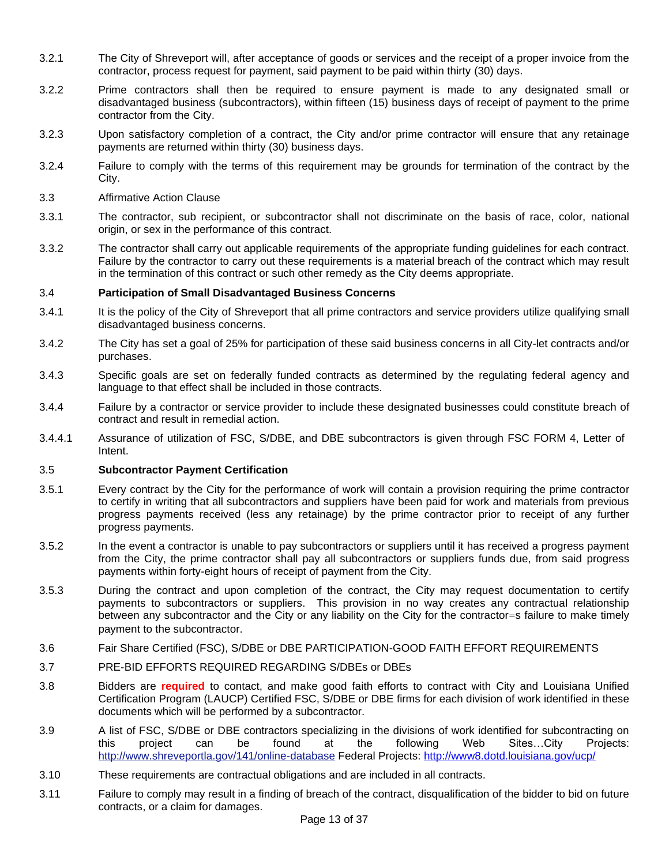- 3.2.1 The City of Shreveport will, after acceptance of goods or services and the receipt of a proper invoice from the contractor, process request for payment, said payment to be paid within thirty (30) days.
- 3.2.2 Prime contractors shall then be required to ensure payment is made to any designated small or disadvantaged business (subcontractors), within fifteen (15) business days of receipt of payment to the prime contractor from the City.
- 3.2.3 Upon satisfactory completion of a contract, the City and/or prime contractor will ensure that any retainage payments are returned within thirty (30) business days.
- 3.2.4 Failure to comply with the terms of this requirement may be grounds for termination of the contract by the City.
- 3.3 Affirmative Action Clause
- 3.3.1 The contractor, sub recipient, or subcontractor shall not discriminate on the basis of race, color, national origin, or sex in the performance of this contract.
- 3.3.2 The contractor shall carry out applicable requirements of the appropriate funding guidelines for each contract. Failure by the contractor to carry out these requirements is a material breach of the contract which may result in the termination of this contract or such other remedy as the City deems appropriate.

#### 3.4 **Participation of Small Disadvantaged Business Concerns**

- 3.4.1 It is the policy of the City of Shreveport that all prime contractors and service providers utilize qualifying small disadvantaged business concerns.
- 3.4.2 The City has set a goal of 25% for participation of these said business concerns in all City-let contracts and/or purchases.
- 3.4.3 Specific goals are set on federally funded contracts as determined by the regulating federal agency and language to that effect shall be included in those contracts.
- 3.4.4 Failure by a contractor or service provider to include these designated businesses could constitute breach of contract and result in remedial action.
- 3.4.4.1 Assurance of utilization of FSC, S/DBE, and DBE subcontractors is given through FSC FORM 4, Letter of Intent.

#### 3.5 **Subcontractor Payment Certification**

- 3.5.1 Every contract by the City for the performance of work will contain a provision requiring the prime contractor to certify in writing that all subcontractors and suppliers have been paid for work and materials from previous progress payments received (less any retainage) by the prime contractor prior to receipt of any further progress payments.
- 3.5.2 In the event a contractor is unable to pay subcontractors or suppliers until it has received a progress payment from the City, the prime contractor shall pay all subcontractors or suppliers funds due, from said progress payments within forty-eight hours of receipt of payment from the City.
- 3.5.3 During the contract and upon completion of the contract, the City may request documentation to certify payments to subcontractors or suppliers. This provision in no way creates any contractual relationship between any subcontractor and the City or any liability on the City for the contractor=s failure to make timely payment to the subcontractor.
- 3.6 Fair Share Certified (FSC), S/DBE or DBE PARTICIPATION-GOOD FAITH EFFORT REQUIREMENTS
- 3.7 PRE-BID EFFORTS REQUIRED REGARDING S/DBEs or DBEs
- 3.8 Bidders are **required** to contact, and make good faith efforts to contract with City and Louisiana Unified Certification Program (LAUCP) Certified FSC, S/DBE or DBE firms for each division of work identified in these documents which will be performed by a subcontractor.
- 3.9 A list of FSC, S/DBE or DBE contractors specializing in the divisions of work identified for subcontracting on this project can be found at the following Web Sites…City Projects: http://www.shreveportla.gov/141/online-database Federal Projects:<http://www8.dotd.louisiana.gov/ucp/>
- 3.10 These requirements are contractual obligations and are included in all contracts.
- 3.11 Failure to comply may result in a finding of breach of the contract, disqualification of the bidder to bid on future contracts, or a claim for damages.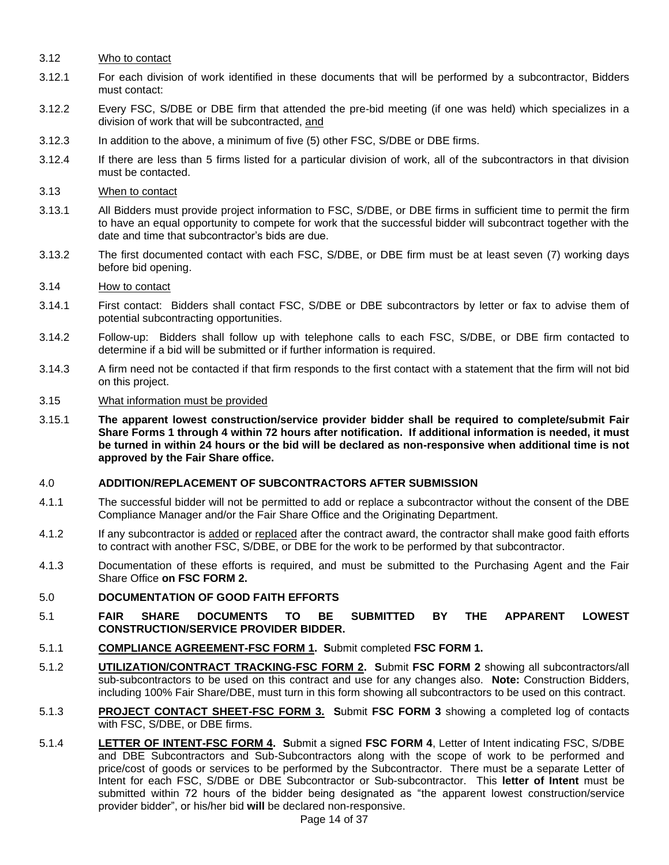- 3.12 Who to contact
- 3.12.1 For each division of work identified in these documents that will be performed by a subcontractor, Bidders must contact:
- 3.12.2 Every FSC, S/DBE or DBE firm that attended the pre-bid meeting (if one was held) which specializes in a division of work that will be subcontracted, and
- 3.12.3 In addition to the above, a minimum of five (5) other FSC, S/DBE or DBE firms.
- 3.12.4 If there are less than 5 firms listed for a particular division of work, all of the subcontractors in that division must be contacted.
- 3.13 When to contact
- 3.13.1 All Bidders must provide project information to FSC, S/DBE, or DBE firms in sufficient time to permit the firm to have an equal opportunity to compete for work that the successful bidder will subcontract together with the date and time that subcontractor's bids are due.
- 3.13.2 The first documented contact with each FSC, S/DBE, or DBE firm must be at least seven (7) working days before bid opening.
- 3.14 How to contact
- 3.14.1 First contact: Bidders shall contact FSC, S/DBE or DBE subcontractors by letter or fax to advise them of potential subcontracting opportunities.
- 3.14.2 Follow-up: Bidders shall follow up with telephone calls to each FSC, S/DBE, or DBE firm contacted to determine if a bid will be submitted or if further information is required.
- 3.14.3 A firm need not be contacted if that firm responds to the first contact with a statement that the firm will not bid on this project.
- 3.15 What information must be provided
- 3.15.1 **The apparent lowest construction/service provider bidder shall be required to complete/submit Fair Share Forms 1 through 4 within 72 hours after notification. If additional information is needed, it must be turned in within 24 hours or the bid will be declared as non-responsive when additional time is not approved by the Fair Share office.**

#### 4.0 **ADDITION/REPLACEMENT OF SUBCONTRACTORS AFTER SUBMISSION**

- 4.1.1 The successful bidder will not be permitted to add or replace a subcontractor without the consent of the DBE Compliance Manager and/or the Fair Share Office and the Originating Department.
- 4.1.2 If any subcontractor is added or replaced after the contract award, the contractor shall make good faith efforts to contract with another FSC, S/DBE, or DBE for the work to be performed by that subcontractor.
- 4.1.3 Documentation of these efforts is required, and must be submitted to the Purchasing Agent and the Fair Share Office **on FSC FORM 2.**
- 5.0 **DOCUMENTATION OF GOOD FAITH EFFORTS**
- 5.1 **FAIR SHARE DOCUMENTS TO BE SUBMITTED BY THE APPARENT LOWEST CONSTRUCTION/SERVICE PROVIDER BIDDER.**
- 5.1.1 **COMPLIANCE AGREEMENT-FSC FORM 1. S**ubmit completed **FSC FORM 1.**
- 5.1.2 **UTILIZATION/CONTRACT TRACKING-FSC FORM 2. S**ubmit **FSC FORM 2** showing all subcontractors/all sub-subcontractors to be used on this contract and use for any changes also. **Note:** Construction Bidders, including 100% Fair Share/DBE, must turn in this form showing all subcontractors to be used on this contract.
- 5.1.3 **PROJECT CONTACT SHEET-FSC FORM 3. S**ubmit **FSC FORM 3** showing a completed log of contacts with FSC, S/DBE, or DBE firms.
- 5.1.4 **LETTER OF INTENT-FSC FORM 4. S**ubmit a signed **FSC FORM 4**, Letter of Intent indicating FSC, S/DBE and DBE Subcontractors and Sub-Subcontractors along with the scope of work to be performed and price/cost of goods or services to be performed by the Subcontractor. There must be a separate Letter of Intent for each FSC, S/DBE or DBE Subcontractor or Sub-subcontractor. This **letter of Intent** must be submitted within 72 hours of the bidder being designated as "the apparent lowest construction/service provider bidder", or his/her bid **will** be declared non-responsive.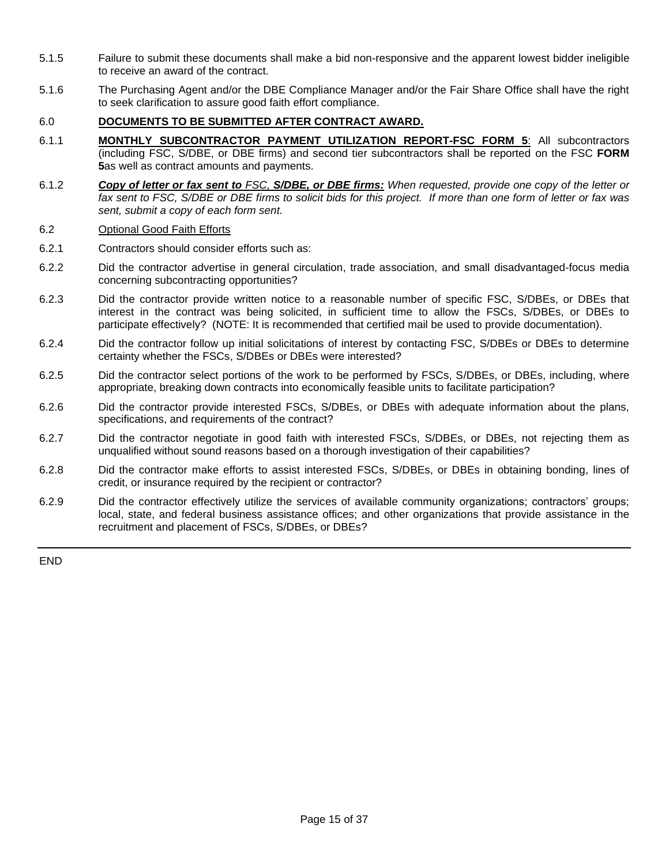- 5.1.5 Failure to submit these documents shall make a bid non-responsive and the apparent lowest bidder ineligible to receive an award of the contract.
- 5.1.6 The Purchasing Agent and/or the DBE Compliance Manager and/or the Fair Share Office shall have the right to seek clarification to assure good faith effort compliance.

#### 6.0 **DOCUMENTS TO BE SUBMITTED AFTER CONTRACT AWARD.**

- 6.1.1 **MONTHLY SUBCONTRACTOR PAYMENT UTILIZATION REPORT-FSC FORM 5**: All subcontractors (including FSC, S/DBE, or DBE firms) and second tier subcontractors shall be reported on the FSC **FORM 5**as well as contract amounts and payments.
- 6.1.2 *Copy of letter or fax sent to FSC, S/DBE, or DBE firms: When requested, provide one copy of the letter or*  fax sent to FSC, S/DBE or DBE firms to solicit bids for this project. If more than one form of letter or fax was *sent, submit a copy of each form sent.*

#### 6.2 Optional Good Faith Efforts

- 6.2.1 Contractors should consider efforts such as:
- 6.2.2 Did the contractor advertise in general circulation, trade association, and small disadvantaged-focus media concerning subcontracting opportunities?
- 6.2.3 Did the contractor provide written notice to a reasonable number of specific FSC, S/DBEs, or DBEs that interest in the contract was being solicited, in sufficient time to allow the FSCs, S/DBEs, or DBEs to participate effectively? (NOTE: It is recommended that certified mail be used to provide documentation).
- 6.2.4 Did the contractor follow up initial solicitations of interest by contacting FSC, S/DBEs or DBEs to determine certainty whether the FSCs, S/DBEs or DBEs were interested?
- 6.2.5 Did the contractor select portions of the work to be performed by FSCs, S/DBEs, or DBEs, including, where appropriate, breaking down contracts into economically feasible units to facilitate participation?
- 6.2.6 Did the contractor provide interested FSCs, S/DBEs, or DBEs with adequate information about the plans, specifications, and requirements of the contract?
- 6.2.7 Did the contractor negotiate in good faith with interested FSCs, S/DBEs, or DBEs, not rejecting them as unqualified without sound reasons based on a thorough investigation of their capabilities?
- 6.2.8 Did the contractor make efforts to assist interested FSCs, S/DBEs, or DBEs in obtaining bonding, lines of credit, or insurance required by the recipient or contractor?
- 6.2.9 Did the contractor effectively utilize the services of available community organizations; contractors' groups; local, state, and federal business assistance offices; and other organizations that provide assistance in the recruitment and placement of FSCs, S/DBEs, or DBEs?

END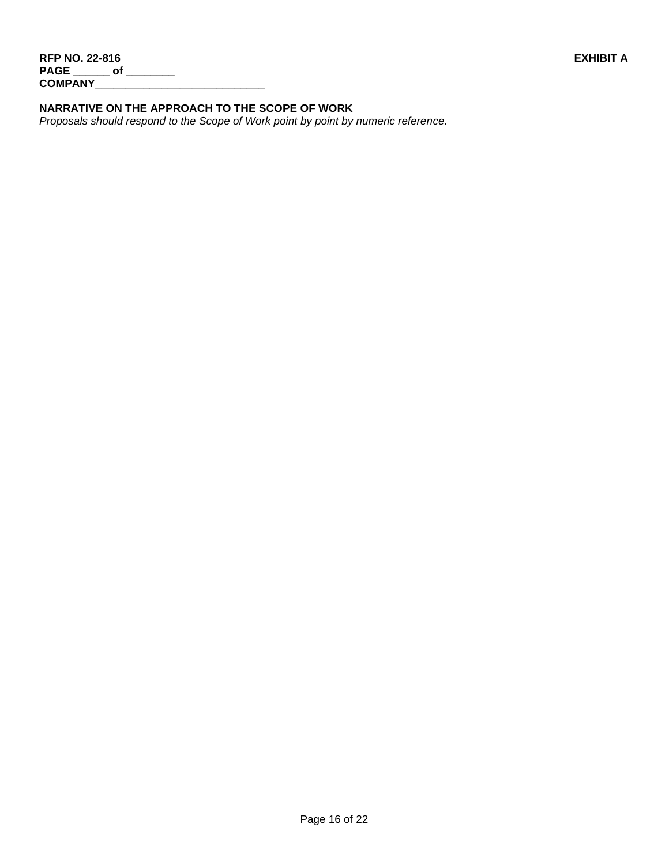#### **NARRATIVE ON THE APPROACH TO THE SCOPE OF WORK**

*Proposals should respond to the Scope of Work point by point by numeric reference.*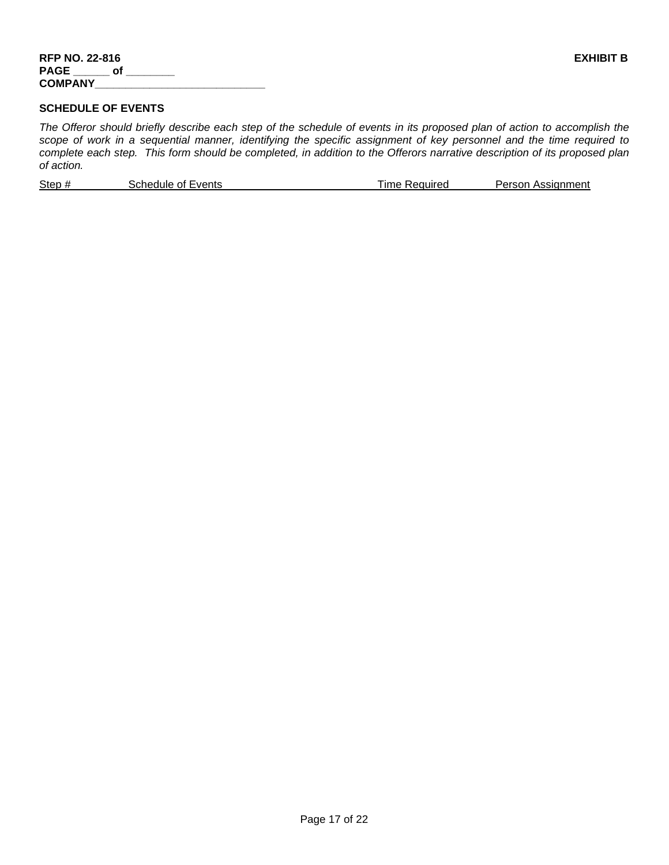#### **SCHEDULE OF EVENTS**

*The Offeror should briefly describe each step of the schedule of events in its proposed plan of action to accomplish the scope of work in a sequential manner, identifying the specific assignment of key personnel and the time required to complete each step. This form should be completed, in addition to the Offerors narrative description of its proposed plan of action.*

|  | Step#<br>Person Assignment<br>Schedule of Events<br>lme Required |
|--|------------------------------------------------------------------|
|--|------------------------------------------------------------------|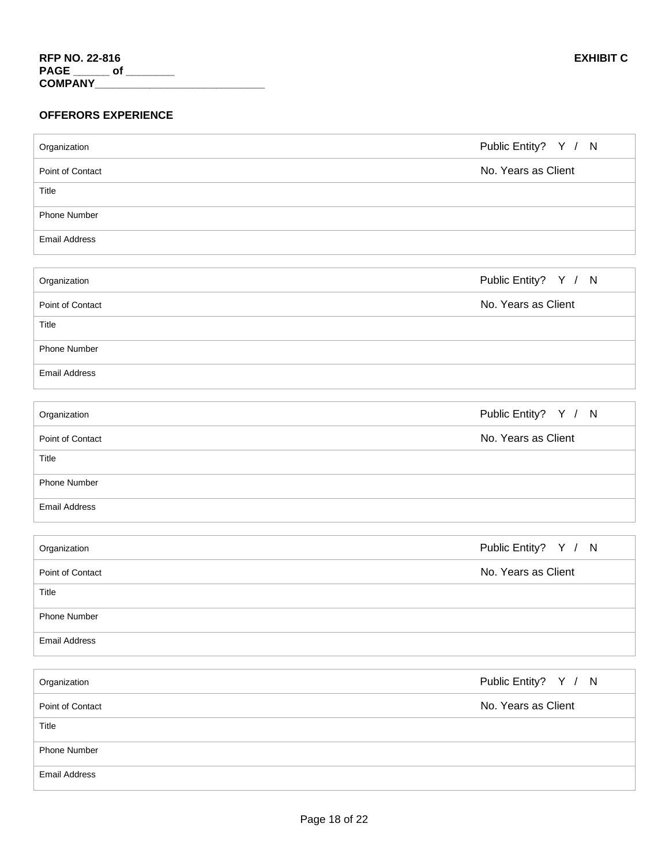| Organization         | Public Entity? Y / N |
|----------------------|----------------------|
| Point of Contact     | No. Years as Client  |
| Title                |                      |
| Phone Number         |                      |
| <b>Email Address</b> |                      |
|                      |                      |
| Organization         | Public Entity? Y / N |
| Point of Contact     | No. Years as Client  |
| Title                |                      |
| Phone Number         |                      |
| <b>Email Address</b> |                      |
|                      |                      |
| Organization         | Public Entity? Y / N |
| Point of Contact     | No. Years as Client  |
| Title                |                      |
| Phone Number         |                      |
| <b>Email Address</b> |                      |
|                      |                      |
| Organization         | Public Entity? Y / N |
| Point of Contact     | No. Years as Client  |
| Title                |                      |
| Phone Number         |                      |
| <b>Email Address</b> |                      |
|                      |                      |
| Organization         | Public Entity? Y / N |
| Point of Contact     | No. Years as Client  |
| Title                |                      |
| Phone Number         |                      |
| <b>Email Address</b> |                      |

T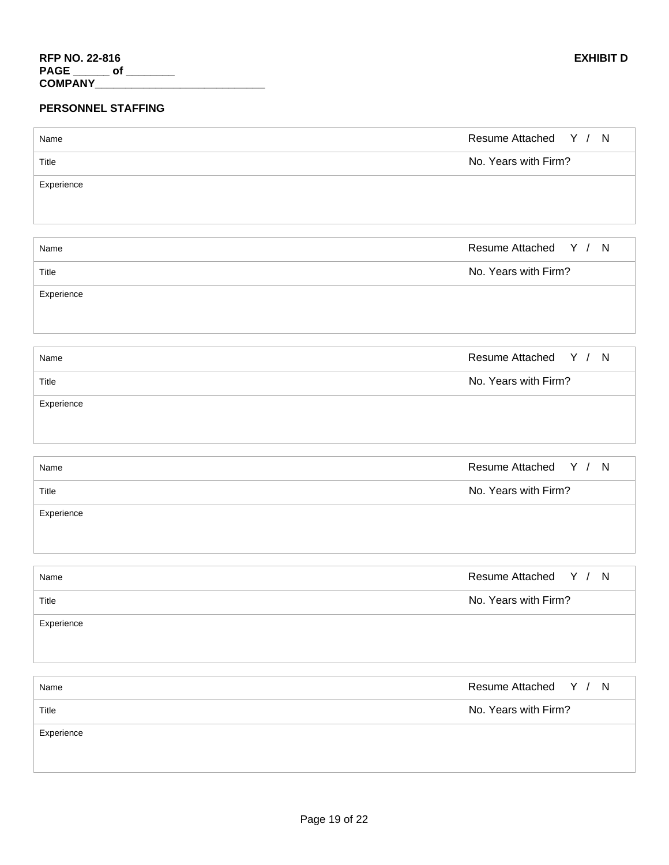#### **PERSONNEL STAFFING**

| Name       | Resume Attached Y / N |
|------------|-----------------------|
| Title      | No. Years with Firm?  |
| Experience |                       |
|            |                       |
|            |                       |
| Name       | Resume Attached Y / N |
| Title      | No. Years with Firm?  |
| Experience |                       |
|            |                       |
|            |                       |
| Name       | Resume Attached Y / N |
| Title      | No. Years with Firm?  |
| Experience |                       |
|            |                       |
|            |                       |
| Name       | Resume Attached Y / N |
| Title      | No. Years with Firm?  |
| Experience |                       |
|            |                       |
|            |                       |
| Name       | Resume Attached Y / N |
| Title      | No. Years with Firm?  |
| Experience |                       |
|            |                       |
|            |                       |
| Name       | Resume Attached Y / N |
| Title      | No. Years with Firm?  |
| Experience |                       |
|            |                       |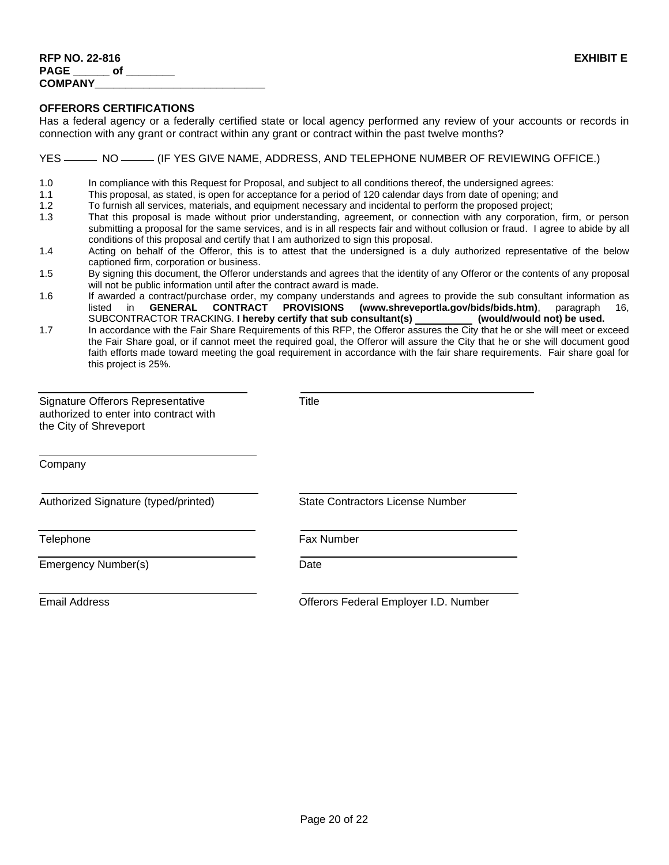#### **OFFERORS CERTIFICATIONS**

Has a federal agency or a federally certified state or local agency performed any review of your accounts or records in connection with any grant or contract within any grant or contract within the past twelve months?

YES  $\frac{1}{15}$  NO  $\frac{1}{15}$  (IF YES GIVE NAME, ADDRESS, AND TELEPHONE NUMBER OF REVIEWING OFFICE.)

1.0 In compliance with this Request for Proposal, and subject to all conditions thereof, the undersigned agrees:

- 1.1 This proposal, as stated, is open for acceptance for a period of 120 calendar days from date of opening; and
- 1.2 To furnish all services, materials, and equipment necessary and incidental to perform the proposed project;
- 1.3 That this proposal is made without prior understanding, agreement, or connection with any corporation, firm, or person submitting a proposal for the same services, and is in all respects fair and without collusion or fraud. I agree to abide by all conditions of this proposal and certify that I am authorized to sign this proposal.
- 1.4 Acting on behalf of the Offeror, this is to attest that the undersigned is a duly authorized representative of the below captioned firm, corporation or business.
- 1.5 By signing this document, the Offeror understands and agrees that the identity of any Offeror or the contents of any proposal will not be public information until after the contract award is made.
- 1.6 If awarded a contract/purchase order, my company understands and agrees to provide the sub consultant information as listed in **GENERAL CONTRACT PROVISIONS (www.shreveportla.gov/bids/bids.htm)**, paragraph 16, SUBCONTRACTOR TRACKING. **I hereby certify that sub consultant(s) (would/would not) be used.**
- 1.7 In accordance with the Fair Share Requirements of this RFP, the Offeror assures the City that he or she will meet or exceed the Fair Share goal, or if cannot meet the required goal, the Offeror will assure the City that he or she will document good faith efforts made toward meeting the goal requirement in accordance with the fair share requirements. Fair share goal for this project is 25%.

| Signature Offerors Representative<br>authorized to enter into contract with<br>the City of Shreveport | Title                            |
|-------------------------------------------------------------------------------------------------------|----------------------------------|
| Company                                                                                               |                                  |
| Authorized Signature (typed/printed)                                                                  | State Contractors License Number |
| Telephone                                                                                             | <b>Fax Number</b>                |
| Emergency Number(s)                                                                                   | Date                             |
|                                                                                                       |                                  |

 $\overline{a}$ 

Email Address **Community** Community Community Community Community Community Community Community Community Community Community Community Community Community Community Community Community Community Community Community Commun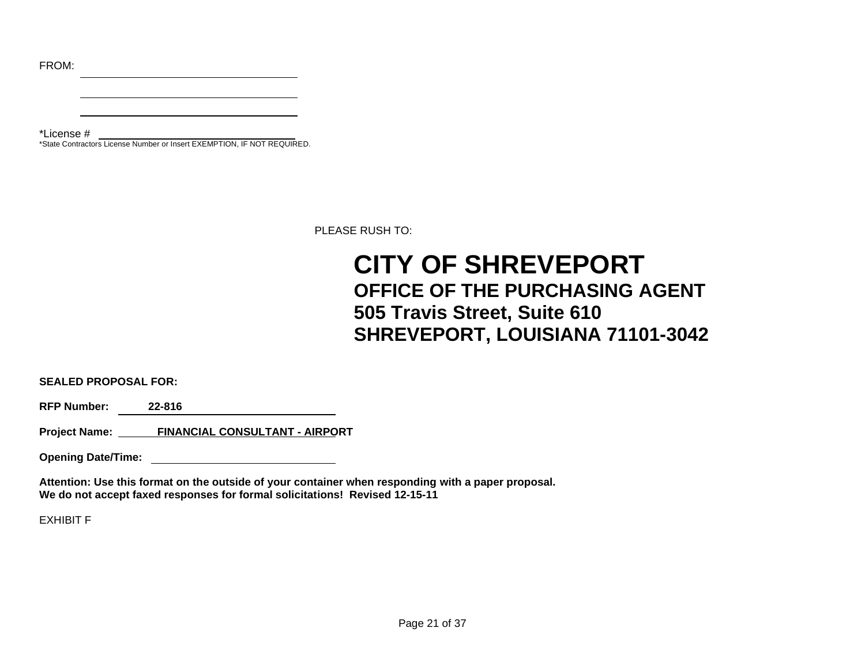FROM:

\*License # \*State Contractors License Number or Insert EXEMPTION, IF NOT REQUIRED.

PLEASE RUSH TO:

# **CITY OF SHREVEPORT OFFICE OF THE PURCHASING AGENT 505 Travis Street, Suite 610 SHREVEPORT, LOUISIANA 71101-3042**

**SEALED PROPOSAL FOR:**

**RFP Number: 22-816** 

**Project Name: FINANCIAL CONSULTANT - AIRPORT**

**Opening Date/Time:** 

**Attention: Use this format on the outside of your container when responding with a paper proposal. We do not accept faxed responses for formal solicitations! Revised 12-15-11**

EXHIBIT F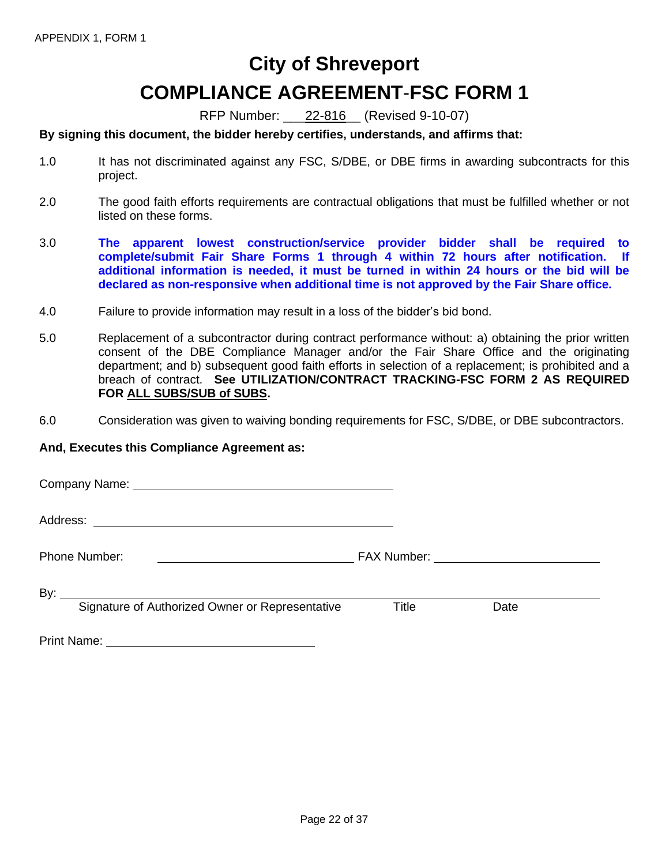# **City of Shreveport COMPLIANCE AGREEMENT**-**FSC FORM 1**

RFP Number: \_\_\_22-816\_\_ (Revised 9-10-07)

#### **By signing this document, the bidder hereby certifies, understands, and affirms that:**

- 1.0 It has not discriminated against any FSC, S/DBE, or DBE firms in awarding subcontracts for this project.
- 2.0 The good faith efforts requirements are contractual obligations that must be fulfilled whether or not listed on these forms.
- 3.0 **The apparent lowest construction/service provider bidder shall be required to complete/submit Fair Share Forms 1 through 4 within 72 hours after notification. If additional information is needed, it must be turned in within 24 hours or the bid will be declared as non-responsive when additional time is not approved by the Fair Share office.**
- 4.0 Failure to provide information may result in a loss of the bidder's bid bond.
- 5.0 Replacement of a subcontractor during contract performance without: a) obtaining the prior written consent of the DBE Compliance Manager and/or the Fair Share Office and the originating department; and b) subsequent good faith efforts in selection of a replacement; is prohibited and a breach of contract. **See UTILIZATION/CONTRACT TRACKING-FSC FORM 2 AS REQUIRED FOR ALL SUBS/SUB of SUBS.**
- 6.0 Consideration was given to waiving bonding requirements for FSC, S/DBE, or DBE subcontractors.

#### **And, Executes this Compliance Agreement as:**

Company Name:

Address:

Phone Number: FAX Number:

By:  $\overline{\phantom{0}}$ 

Signature of Authorized Owner or Representative Title Date

Print Name: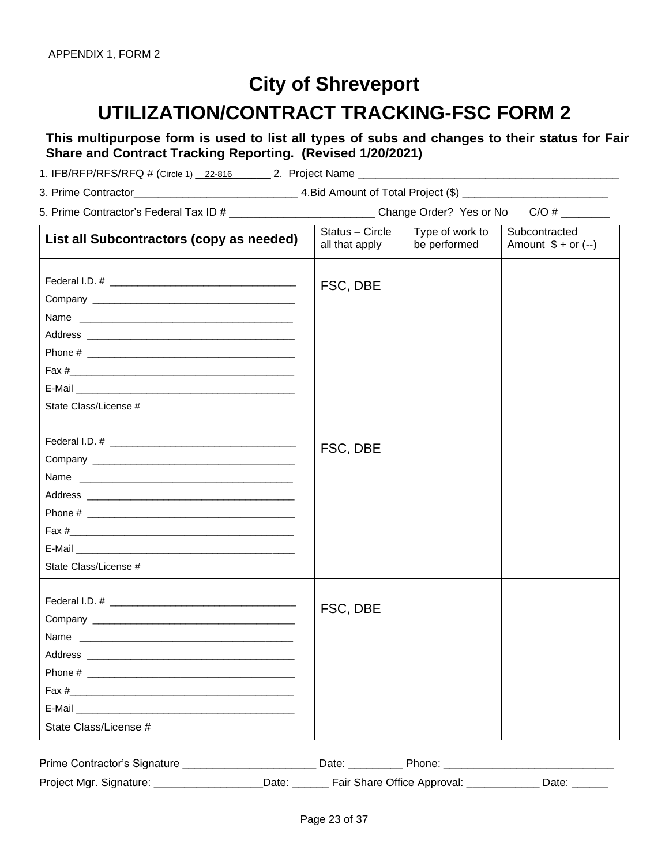# **City of Shreveport UTILIZATION/CONTRACT TRACKING-FSC FORM 2**

**This multipurpose form is used to list all types of subs and changes to their status for Fair Share and Contract Tracking Reporting. (Revised 1/20/2021)**

1. IFB/RFP/RFS/RFQ # (Circle 1) \_22-816 \_\_\_\_\_\_ 2. Project Name \_\_\_\_\_\_\_\_\_\_\_\_\_\_\_\_\_\_

| 3. Prime Contractor | 4. Bid Amount of Total Project (\$) |
|---------------------|-------------------------------------|
|---------------------|-------------------------------------|

| 5. Prime Contractor's Federal Tax ID # | Change Order? Yes or No | C/O# |
|----------------------------------------|-------------------------|------|
|                                        |                         |      |

| List all Subcontractors (copy as needed) | Status - Circle<br>all that apply | Type of work to<br>be performed | Subcontracted<br>Amount $$ + or (-)$ |
|------------------------------------------|-----------------------------------|---------------------------------|--------------------------------------|
| Phone #<br>State Class/License #         | FSC, DBE                          |                                 |                                      |
| Name<br>State Class/License #            | FSC, DBE                          |                                 |                                      |
| Name<br>State Class/License #            | FSC, DBE                          |                                 |                                      |

| Prime Contractor's Signature |       | Date<br>none                |  |
|------------------------------|-------|-----------------------------|--|
| Project Mgr. Signature:      | )ate. | Fair Share Office Approval: |  |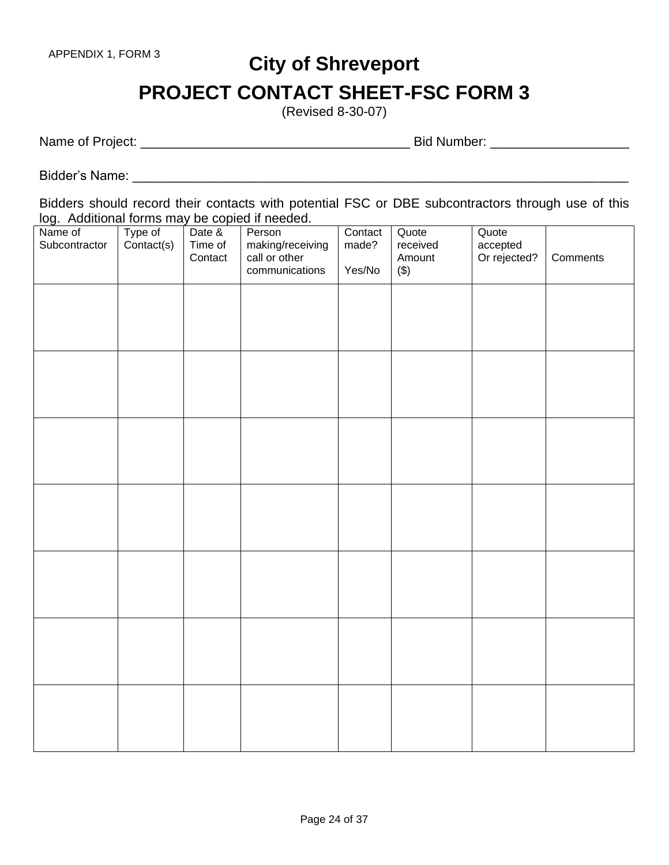# **City of Shreveport PROJECT CONTACT SHEET-FSC FORM 3**

(Revised 8-30-07)

Name of Project: \_\_\_\_\_\_\_\_\_\_\_\_\_\_\_\_\_\_\_\_\_\_\_\_\_\_\_\_\_\_\_\_\_\_\_\_\_ Bid Number: \_\_\_\_\_\_\_\_\_\_\_\_\_\_\_\_\_\_\_

Bidder's Name: \_\_\_\_\_\_\_\_\_\_\_\_\_\_\_\_\_\_\_\_\_\_\_\_\_\_\_\_\_\_\_\_\_\_\_\_\_\_\_\_\_\_\_\_\_\_\_\_\_\_\_\_\_\_\_\_\_\_\_\_\_\_\_\_\_\_\_\_

Bidders should record their contacts with potential FSC or DBE subcontractors through use of this log. Additional forms may be copied if needed.

| Name of<br>Subcontractor | Type of<br>Contact(s) | Date &<br>Time of<br>Contact | Person<br>making/receiving<br>call or other<br>communications | Contact<br>made?<br>Yes/No | Quote<br>received<br>Amount<br>$(\$)$ | Quote<br>accepted<br>Or rejected? | Comments |
|--------------------------|-----------------------|------------------------------|---------------------------------------------------------------|----------------------------|---------------------------------------|-----------------------------------|----------|
|                          |                       |                              |                                                               |                            |                                       |                                   |          |
|                          |                       |                              |                                                               |                            |                                       |                                   |          |
|                          |                       |                              |                                                               |                            |                                       |                                   |          |
|                          |                       |                              |                                                               |                            |                                       |                                   |          |
|                          |                       |                              |                                                               |                            |                                       |                                   |          |
|                          |                       |                              |                                                               |                            |                                       |                                   |          |
|                          |                       |                              |                                                               |                            |                                       |                                   |          |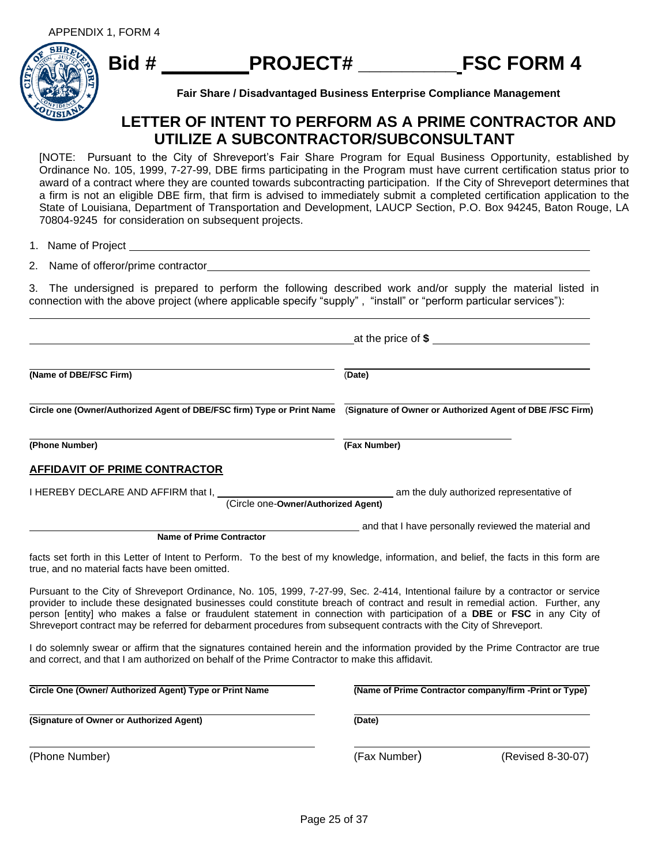

**Fair Share / Disadvantaged Business Enterprise Compliance Management**

### **LETTER OF INTENT TO PERFORM AS A PRIME CONTRACTOR AND UTILIZE A SUBCONTRACTOR/SUBCONSULTANT**

[NOTE: Pursuant to the City of Shreveport's Fair Share Program for Equal Business Opportunity, established by Ordinance No. 105, 1999, 7-27-99, DBE firms participating in the Program must have current certification status prior to award of a contract where they are counted towards subcontracting participation. If the City of Shreveport determines that a firm is not an eligible DBE firm, that firm is advised to immediately submit a completed certification application to the State of Louisiana, Department of Transportation and Development, LAUCP Section, P.O. Box 94245, Baton Rouge, LA 70804-9245 for consideration on subsequent projects.

1. Name of Project

2. Name of offeror/prime contractor

3. The undersigned is prepared to perform the following described work and/or supply the material listed in connection with the above project (where applicable specify "supply" , "install" or "perform particular services"):

|                                                                                                                                                                                                                                                                                                                                                                                                                                                                                                                         | at the price of $$$                                    |  |  |  |
|-------------------------------------------------------------------------------------------------------------------------------------------------------------------------------------------------------------------------------------------------------------------------------------------------------------------------------------------------------------------------------------------------------------------------------------------------------------------------------------------------------------------------|--------------------------------------------------------|--|--|--|
| (Name of DBE/FSC Firm)                                                                                                                                                                                                                                                                                                                                                                                                                                                                                                  | (Date)                                                 |  |  |  |
| Circle one (Owner/Authorized Agent of DBE/FSC firm) Type or Print Name (Signature of Owner or Authorized Agent of DBE /FSC Firm)                                                                                                                                                                                                                                                                                                                                                                                        |                                                        |  |  |  |
| (Phone Number)                                                                                                                                                                                                                                                                                                                                                                                                                                                                                                          | (Fax Number)                                           |  |  |  |
| <b>AFFIDAVIT OF PRIME CONTRACTOR</b>                                                                                                                                                                                                                                                                                                                                                                                                                                                                                    |                                                        |  |  |  |
| I HEREBY DECLARE AND AFFIRM that I,<br>(Circle one-Owner/Authorized Agent)                                                                                                                                                                                                                                                                                                                                                                                                                                              | am the duly authorized representative of               |  |  |  |
| <b>Name of Prime Contractor</b>                                                                                                                                                                                                                                                                                                                                                                                                                                                                                         | and that I have personally reviewed the material and   |  |  |  |
| facts set forth in this Letter of Intent to Perform. To the best of my knowledge, information, and belief, the facts in this form are<br>true, and no material facts have been omitted.                                                                                                                                                                                                                                                                                                                                 |                                                        |  |  |  |
| Pursuant to the City of Shreveport Ordinance, No. 105, 1999, 7-27-99, Sec. 2-414, Intentional failure by a contractor or service<br>provider to include these designated businesses could constitute breach of contract and result in remedial action. Further, any<br>person [entity] who makes a false or fraudulent statement in connection with participation of a DBE or FSC in any City of<br>Shreveport contract may be referred for debarment procedures from subsequent contracts with the City of Shreveport. |                                                        |  |  |  |
| I do solemnly swear or affirm that the signatures contained herein and the information provided by the Prime Contractor are true<br>and correct, and that I am authorized on behalf of the Prime Contractor to make this affidavit.                                                                                                                                                                                                                                                                                     |                                                        |  |  |  |
| Circle One (Owner/ Authorized Agent) Type or Print Name                                                                                                                                                                                                                                                                                                                                                                                                                                                                 | (Name of Prime Contractor company/firm -Print or Type) |  |  |  |
| (Signature of Owner or Authorized Agent)                                                                                                                                                                                                                                                                                                                                                                                                                                                                                | (Date)                                                 |  |  |  |
| (Phone Number)                                                                                                                                                                                                                                                                                                                                                                                                                                                                                                          | (Fax Number)<br>(Revised 8-30-07)                      |  |  |  |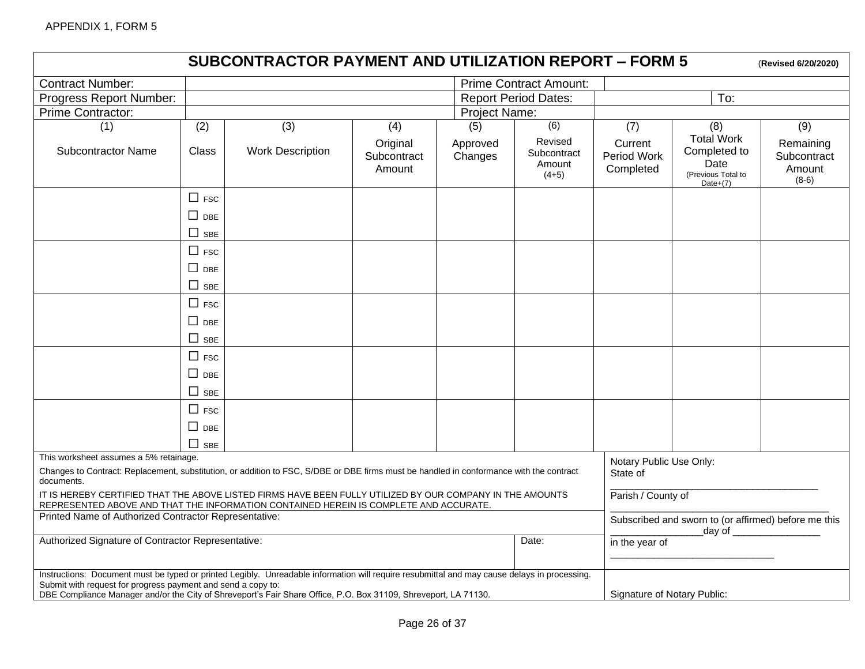|                                                                                                                                                                                                                                                                                                                                 |                                                  | <b>SUBCONTRACTOR PAYMENT AND UTILIZATION REPORT - FORM 5</b> |                                   |                                                                              |                                             |                                     |                                                                                | (Revised 6/20/2020)                           |
|---------------------------------------------------------------------------------------------------------------------------------------------------------------------------------------------------------------------------------------------------------------------------------------------------------------------------------|--------------------------------------------------|--------------------------------------------------------------|-----------------------------------|------------------------------------------------------------------------------|---------------------------------------------|-------------------------------------|--------------------------------------------------------------------------------|-----------------------------------------------|
| <b>Contract Number:</b>                                                                                                                                                                                                                                                                                                         |                                                  |                                                              |                                   |                                                                              | <b>Prime Contract Amount:</b>               |                                     |                                                                                |                                               |
| Progress Report Number:                                                                                                                                                                                                                                                                                                         | To:<br><b>Report Period Dates:</b>               |                                                              |                                   |                                                                              |                                             |                                     |                                                                                |                                               |
| Prime Contractor:                                                                                                                                                                                                                                                                                                               |                                                  |                                                              |                                   | Project Name:                                                                |                                             |                                     |                                                                                |                                               |
| (1)                                                                                                                                                                                                                                                                                                                             | (2)                                              | (3)                                                          | (4)                               | (5)                                                                          | (6)                                         | (7)                                 | (8)                                                                            | (9)                                           |
| <b>Subcontractor Name</b>                                                                                                                                                                                                                                                                                                       | <b>Class</b>                                     | <b>Work Description</b>                                      | Original<br>Subcontract<br>Amount | Approved<br>Changes                                                          | Revised<br>Subcontract<br>Amount<br>$(4+5)$ | Current<br>Period Work<br>Completed | <b>Total Work</b><br>Completed to<br>Date<br>(Previous Total to<br>Date $+(7)$ | Remaining<br>Subcontract<br>Amount<br>$(8-6)$ |
|                                                                                                                                                                                                                                                                                                                                 | $\Box$ FSC<br>$\Box$ DBE<br>$\Box$<br><b>SBE</b> |                                                              |                                   |                                                                              |                                             |                                     |                                                                                |                                               |
|                                                                                                                                                                                                                                                                                                                                 | $\Box$ FSC<br>$\Box$ DBE                         |                                                              |                                   |                                                                              |                                             |                                     |                                                                                |                                               |
|                                                                                                                                                                                                                                                                                                                                 | $\Box$<br><b>SBE</b>                             |                                                              |                                   |                                                                              |                                             |                                     |                                                                                |                                               |
|                                                                                                                                                                                                                                                                                                                                 | $\Box$ FSC                                       |                                                              |                                   |                                                                              |                                             |                                     |                                                                                |                                               |
|                                                                                                                                                                                                                                                                                                                                 | $\Box$ DBE                                       |                                                              |                                   |                                                                              |                                             |                                     |                                                                                |                                               |
|                                                                                                                                                                                                                                                                                                                                 | П<br><b>SBE</b>                                  |                                                              |                                   |                                                                              |                                             |                                     |                                                                                |                                               |
|                                                                                                                                                                                                                                                                                                                                 | $\Box$ FSC<br>$\square$ DBE                      |                                                              |                                   |                                                                              |                                             |                                     |                                                                                |                                               |
|                                                                                                                                                                                                                                                                                                                                 | $\Box$ SBE                                       |                                                              |                                   |                                                                              |                                             |                                     |                                                                                |                                               |
|                                                                                                                                                                                                                                                                                                                                 | $\Box$ FSC                                       |                                                              |                                   |                                                                              |                                             |                                     |                                                                                |                                               |
|                                                                                                                                                                                                                                                                                                                                 | $\square$ DBE<br>П<br><b>SBE</b>                 |                                                              |                                   |                                                                              |                                             |                                     |                                                                                |                                               |
| This worksheet assumes a 5% retainage.<br>Changes to Contract: Replacement, substitution, or addition to FSC, S/DBE or DBE firms must be handled in conformance with the contract<br>documents.                                                                                                                                 |                                                  |                                                              |                                   |                                                                              |                                             | Notary Public Use Only:<br>State of |                                                                                |                                               |
| IT IS HEREBY CERTIFIED THAT THE ABOVE LISTED FIRMS HAVE BEEN FULLY UTILIZED BY OUR COMPANY IN THE AMOUNTS                                                                                                                                                                                                                       |                                                  |                                                              |                                   |                                                                              |                                             | Parish / County of                  |                                                                                |                                               |
| REPRESENTED ABOVE AND THAT THE INFORMATION CONTAINED HEREIN IS COMPLETE AND ACCURATE.<br>Printed Name of Authorized Contractor Representative:                                                                                                                                                                                  |                                                  |                                                              |                                   | Subscribed and sworn to (or affirmed) before me this<br>_day of ____________ |                                             |                                     |                                                                                |                                               |
| Authorized Signature of Contractor Representative:<br>Date:                                                                                                                                                                                                                                                                     |                                                  |                                                              |                                   | in the year of                                                               |                                             |                                     |                                                                                |                                               |
| Instructions: Document must be typed or printed Legibly. Unreadable information will require resubmittal and may cause delays in processing.<br>Submit with request for progress payment and send a copy to:<br>DBE Compliance Manager and/or the City of Shreveport's Fair Share Office, P.O. Box 31109, Shreveport, LA 71130. |                                                  |                                                              |                                   |                                                                              |                                             | Signature of Notary Public:         |                                                                                |                                               |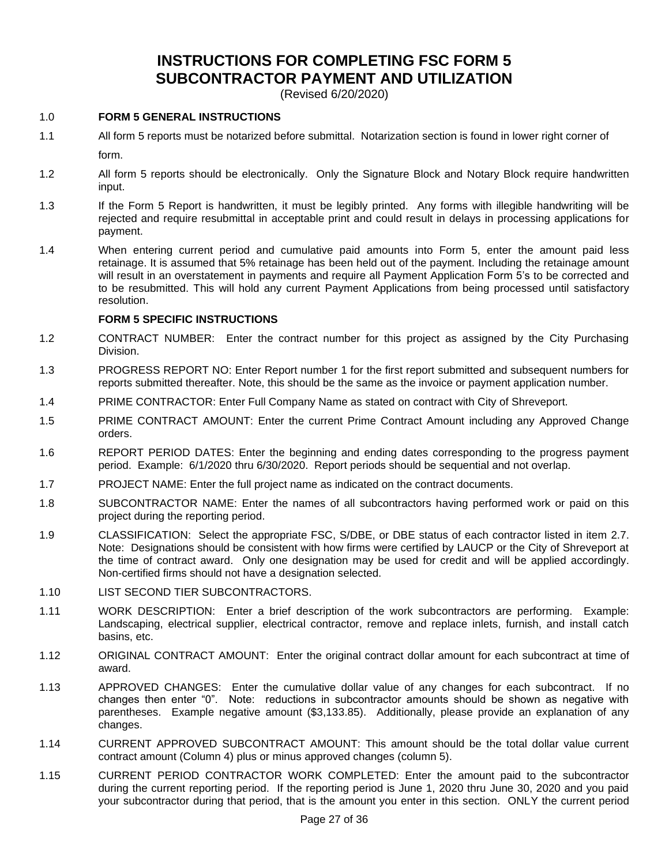### **INSTRUCTIONS FOR COMPLETING FSC FORM 5 SUBCONTRACTOR PAYMENT AND UTILIZATION**

(Revised 6/20/2020)

#### 1.0 **FORM 5 GENERAL INSTRUCTIONS**

- 1.1 All form 5 reports must be notarized before submittal. Notarization section is found in lower right corner of form.
- 1.2 All form 5 reports should be electronically. Only the Signature Block and Notary Block require handwritten input.
- 1.3 If the Form 5 Report is handwritten, it must be legibly printed. Any forms with illegible handwriting will be rejected and require resubmittal in acceptable print and could result in delays in processing applications for payment.
- 1.4 When entering current period and cumulative paid amounts into Form 5, enter the amount paid less retainage. It is assumed that 5% retainage has been held out of the payment. Including the retainage amount will result in an overstatement in payments and require all Payment Application Form 5's to be corrected and to be resubmitted. This will hold any current Payment Applications from being processed until satisfactory resolution.

#### **FORM 5 SPECIFIC INSTRUCTIONS**

- 1.2 CONTRACT NUMBER: Enter the contract number for this project as assigned by the City Purchasing Division.
- 1.3 PROGRESS REPORT NO: Enter Report number 1 for the first report submitted and subsequent numbers for reports submitted thereafter. Note, this should be the same as the invoice or payment application number.
- 1.4 PRIME CONTRACTOR: Enter Full Company Name as stated on contract with City of Shreveport.
- 1.5 PRIME CONTRACT AMOUNT: Enter the current Prime Contract Amount including any Approved Change orders.
- 1.6 REPORT PERIOD DATES: Enter the beginning and ending dates corresponding to the progress payment period. Example: 6/1/2020 thru 6/30/2020. Report periods should be sequential and not overlap.
- 1.7 PROJECT NAME: Enter the full project name as indicated on the contract documents.
- 1.8 SUBCONTRACTOR NAME: Enter the names of all subcontractors having performed work or paid on this project during the reporting period.
- 1.9 CLASSIFICATION: Select the appropriate FSC, S/DBE, or DBE status of each contractor listed in item 2.7. Note: Designations should be consistent with how firms were certified by LAUCP or the City of Shreveport at the time of contract award. Only one designation may be used for credit and will be applied accordingly. Non-certified firms should not have a designation selected.
- 1.10 LIST SECOND TIER SUBCONTRACTORS
- 1.11 WORK DESCRIPTION: Enter a brief description of the work subcontractors are performing. Example: Landscaping, electrical supplier, electrical contractor, remove and replace inlets, furnish, and install catch basins, etc.
- 1.12 ORIGINAL CONTRACT AMOUNT: Enter the original contract dollar amount for each subcontract at time of award.
- 1.13 APPROVED CHANGES: Enter the cumulative dollar value of any changes for each subcontract. If no changes then enter "0". Note: reductions in subcontractor amounts should be shown as negative with parentheses. Example negative amount (\$3,133.85). Additionally, please provide an explanation of any changes.
- 1.14 CURRENT APPROVED SUBCONTRACT AMOUNT: This amount should be the total dollar value current contract amount (Column 4) plus or minus approved changes (column 5).
- 1.15 CURRENT PERIOD CONTRACTOR WORK COMPLETED: Enter the amount paid to the subcontractor during the current reporting period. If the reporting period is June 1, 2020 thru June 30, 2020 and you paid your subcontractor during that period, that is the amount you enter in this section. ONLY the current period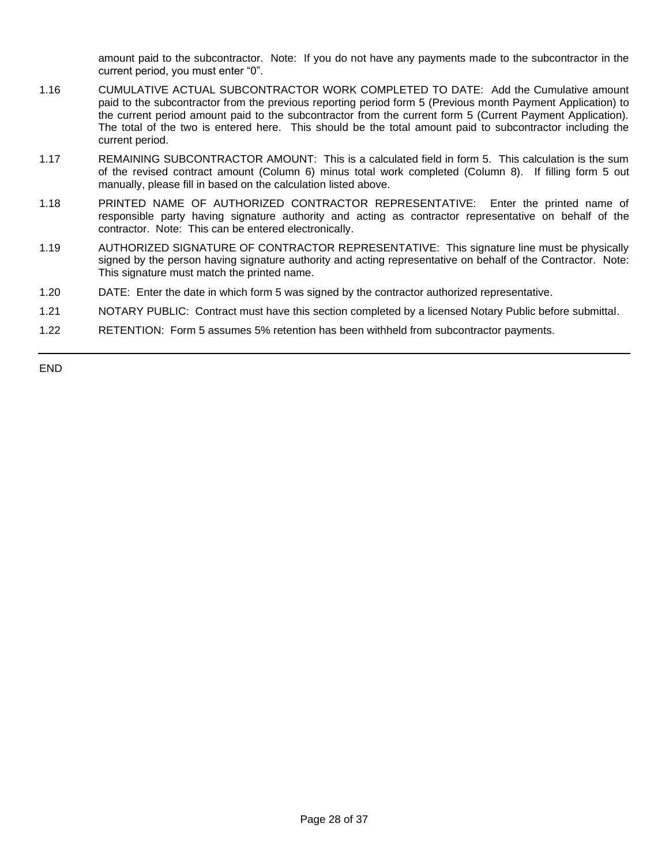amount paid to the subcontractor. Note: If you do not have any payments made to the subcontractor in the current period, you must enter "0".

- 1.16 CUMULATIVE ACTUAL SUBCONTRACTOR WORK COMPLETED TO DATE: Add the Cumulative amount paid to the subcontractor from the previous reporting period form 5 (Previous month Payment Application) to the current period amount paid to the subcontractor from the current form 5 (Current Payment Application). The total of the two is entered here. This should be the total amount paid to subcontractor including the current period.
- 1.17 REMAINING SUBCONTRACTOR AMOUNT: This is a calculated field in form 5. This calculation is the sum of the revised contract amount (Column 6) minus total work completed (Column 8). If filling form 5 out manually, please fill in based on the calculation listed above.
- 1.18 PRINTED NAME OF AUTHORIZED CONTRACTOR REPRESENTATIVE: Enter the printed name of responsible party having signature authority and acting as contractor representative on behalf of the contractor. Note: This can be entered electronically.
- 1.19 AUTHORIZED SIGNATURE OF CONTRACTOR REPRESENTATIVE: This signature line must be physically signed by the person having signature authority and acting representative on behalf of the Contractor. Note: This signature must match the printed name.
- 1.20 DATE: Enter the date in which form 5 was signed by the contractor authorized representative.
- 1.21 NOTARY PUBLIC: Contract must have this section completed by a licensed Notary Public before submittal.
- 1.22 RETENTION: Form 5 assumes 5% retention has been withheld from subcontractor payments.

END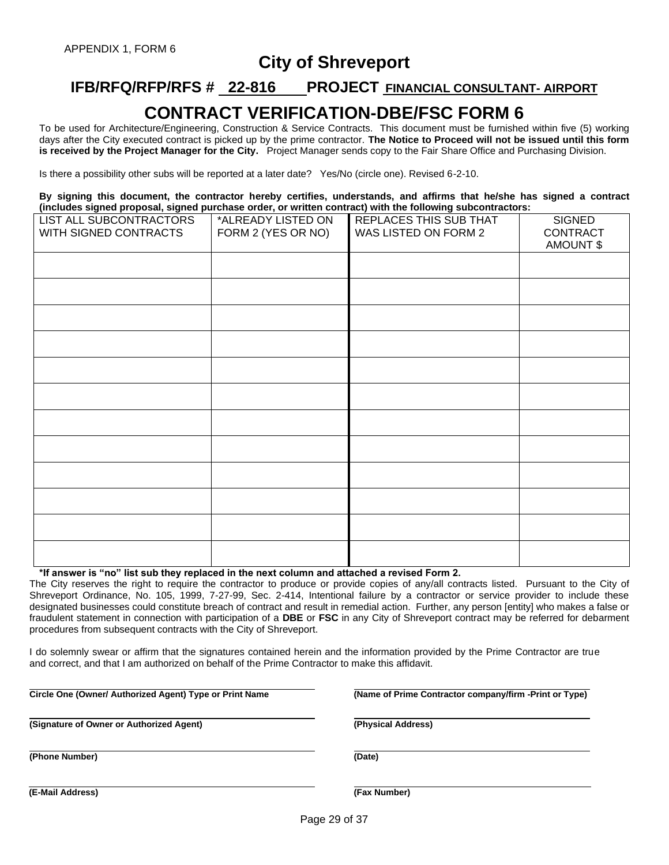### **City of Shreveport**

## **IFB/RFQ/RFP/RFS # 22-816 PROJECT FINANCIAL CONSULTANT- AIRPORT CONTRACT VERIFICATION-DBE/FSC FORM 6**

To be used for Architecture/Engineering, Construction & Service Contracts. This document must be furnished within five (5) working days after the City executed contract is picked up by the prime contractor. **The Notice to Proceed will not be issued until this form is received by the Project Manager for the City.** Project Manager sends copy to the Fair Share Office and Purchasing Division.

Is there a possibility other subs will be reported at a later date? Yes/No (circle one). Revised 6-2-10.

**By signing this document, the contractor hereby certifies, understands, and affirms that he/she has signed a contract (includes signed proposal, signed purchase order, or written contract) with the following subcontractors:**

| LIST ALL SUBCONTRACTORS<br>WITH SIGNED CONTRACTS | *ALREADY LISTED ON<br>FORM 2 (YES OR NO) | REPLACES THIS SUB THAT<br>WAS LISTED ON FORM 2 | <b>SIGNED</b><br>CONTRACT |
|--------------------------------------------------|------------------------------------------|------------------------------------------------|---------------------------|
|                                                  |                                          |                                                | <b>AMOUNT \$</b>          |
|                                                  |                                          |                                                |                           |
|                                                  |                                          |                                                |                           |
|                                                  |                                          |                                                |                           |
|                                                  |                                          |                                                |                           |
|                                                  |                                          |                                                |                           |
|                                                  |                                          |                                                |                           |
|                                                  |                                          |                                                |                           |
|                                                  |                                          |                                                |                           |
|                                                  |                                          |                                                |                           |
|                                                  |                                          |                                                |                           |
|                                                  |                                          |                                                |                           |
|                                                  |                                          |                                                |                           |

**\*If answer is "no" list sub they replaced in the next column and attached a revised Form 2.**

The City reserves the right to require the contractor to produce or provide copies of any/all contracts listed. Pursuant to the City of Shreveport Ordinance, No. 105, 1999, 7-27-99, Sec. 2-414, Intentional failure by a contractor or service provider to include these designated businesses could constitute breach of contract and result in remedial action. Further, any person [entity] who makes a false or fraudulent statement in connection with participation of a **DBE** or **FSC** in any City of Shreveport contract may be referred for debarment procedures from subsequent contracts with the City of Shreveport.

I do solemnly swear or affirm that the signatures contained herein and the information provided by the Prime Contractor are true and correct, and that I am authorized on behalf of the Prime Contractor to make this affidavit.

**Circle One (Owner/ Authorized Agent) Type or Print Name (Name of Prime Contractor company/firm -Print or Type)**

**(Signature of Owner or Authorized Agent) (Physical Address)**

**(Phone Number) (Date)**

**(E-Mail Address) (Fax Number)**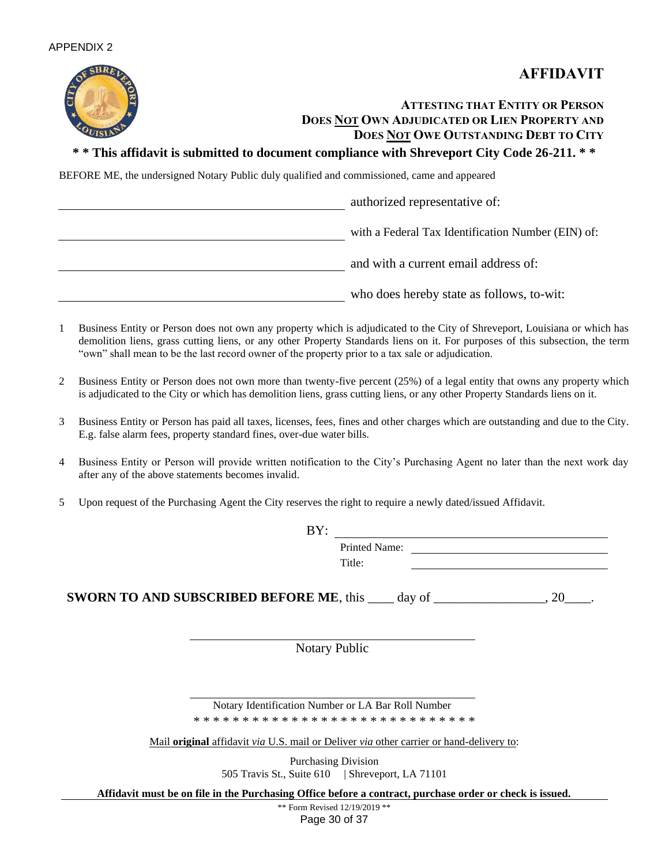



### **ATTESTING THAT ENTITY OR PERSON DOES NOT OWN ADJUDICATED OR LIEN PROPERTY AND DOES NOT OWE OUTSTANDING DEBT TO CITY**

#### **\* \* This affidavit is submitted to document compliance with Shreveport City Code 26-211. \* \***

BEFORE ME, the undersigned Notary Public duly qualified and commissioned, came and appeared

authorized representative of: with a Federal Tax Identification Number (EIN) of: and with a current email address of: who does hereby state as follows, to-wit:

- 1 Business Entity or Person does not own any property which is adjudicated to the City of Shreveport, Louisiana or which has demolition liens, grass cutting liens, or any other Property Standards liens on it. For purposes of this subsection, the term "own" shall mean to be the last record owner of the property prior to a tax sale or adjudication.
- 2 Business Entity or Person does not own more than twenty-five percent (25%) of a legal entity that owns any property which is adjudicated to the City or which has demolition liens, grass cutting liens, or any other Property Standards liens on it.
- 3 Business Entity or Person has paid all taxes, licenses, fees, fines and other charges which are outstanding and due to the City. E.g. false alarm fees, property standard fines, over-due water bills.
- 4 Business Entity or Person will provide written notification to the City's Purchasing Agent no later than the next work day after any of the above statements becomes invalid.
- 5 Upon request of the Purchasing Agent the City reserves the right to require a newly dated/issued Affidavit.

| BY:                                                           |                      |
|---------------------------------------------------------------|----------------------|
|                                                               | <b>Printed Name:</b> |
|                                                               | Title:               |
| <b>SWORN TO AND SUBSCRIBED BEFORE ME, this ____ day of __</b> |                      |

Notary Public

Notary Identification Number or LA Bar Roll Number \* \* \* \* \* \* \* \* \* \* \* \* \* \* \* \* \* \* \* \* \* \* \* \* \* \* \* \* \*

Mail **original** affidavit *via* U.S. mail or Deliver *via* other carrier or hand-delivery to:

Purchasing Division 505 Travis St., Suite 610 | Shreveport, LA 71101

**Affidavit must be on file in the Purchasing Office before a contract, purchase order or check is issued.**

Page 30 of 37 \*\* Form Revised 12/19/2019 \*\*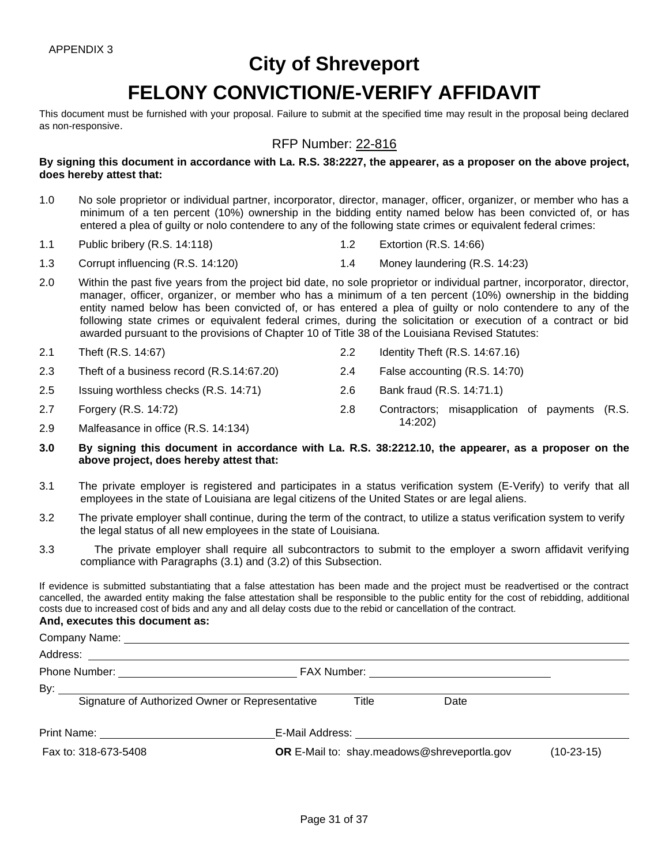# **City of Shreveport**

# **FELONY CONVICTION/E-VERIFY AFFIDAVIT**

This document must be furnished with your proposal. Failure to submit at the specified time may result in the proposal being declared as non-responsive.

#### RFP Number: 22-816

**By signing this document in accordance with La. R.S. 38:2227, the appearer, as a proposer on the above project, does hereby attest that:**

- 1.0 No sole proprietor or individual partner, incorporator, director, manager, officer, organizer, or member who has a minimum of a ten percent (10%) ownership in the bidding entity named below has been convicted of, or has entered a plea of guilty or nolo contendere to any of the following state crimes or equivalent federal crimes:
- 1.1 Public bribery (R.S. 14:118) 1.2 Extortion (R.S. 14:66)
- 1.3 Corrupt influencing (R.S. 14:120) 1.4 Money laundering (R.S. 14:23)
- 2.0 Within the past five years from the project bid date, no sole proprietor or individual partner, incorporator, director, manager, officer, organizer, or member who has a minimum of a ten percent (10%) ownership in the bidding entity named below has been convicted of, or has entered a plea of guilty or nolo contendere to any of the following state crimes or equivalent federal crimes, during the solicitation or execution of a contract or bid awarded pursuant to the provisions of Chapter 10 of Title 38 of the Louisiana Revised Statutes:
- 2.1 Theft (R.S. 14:67) 2.2 Identity Theft (R.S. 14:67.16) 2.3 Theft of a business record (R.S.14:67.20) 2.4 False accounting (R.S. 14:70)
- 2.5 Issuing worthless checks (R.S. 14:71) 2.6 Bank fraud (R.S. 14:71.1)
- 2.7 Forgery (R.S. 14:72) 2.8 Contractors; misapplication of payments (R.S.
- 14:202) 2.9 Malfeasance in office (R.S. 14:134)
- **3.0 By signing this document in accordance with La. R.S. 38:2212.10, the appearer, as a proposer on the above project, does hereby attest that:**
- 3.1 The private employer is registered and participates in a status verification system (E-Verify) to verify that all employees in the state of Louisiana are legal citizens of the United States or are legal aliens.
- 3.2 The private employer shall continue, during the term of the contract, to utilize a status verification system to verify the legal status of all new employees in the state of Louisiana.
- 3.3 The private employer shall require all subcontractors to submit to the employer a sworn affidavit verifying compliance with Paragraphs (3.1) and (3.2) of this Subsection.

If evidence is submitted substantiating that a false attestation has been made and the project must be readvertised or the contract cancelled, the awarded entity making the false attestation shall be responsible to the public entity for the cost of rebidding, additional costs due to increased cost of bids and any and all delay costs due to the rebid or cancellation of the contract.

#### **And, executes this document as:**

| Signature of Authorized Owner or Representative | Title | Date                                               |              |
|-------------------------------------------------|-------|----------------------------------------------------|--------------|
|                                                 |       |                                                    |              |
| Fax to: 318-673-5408                            |       | <b>OR</b> E-Mail to: shay.meadows@shreveportla.gov | $(10-23-15)$ |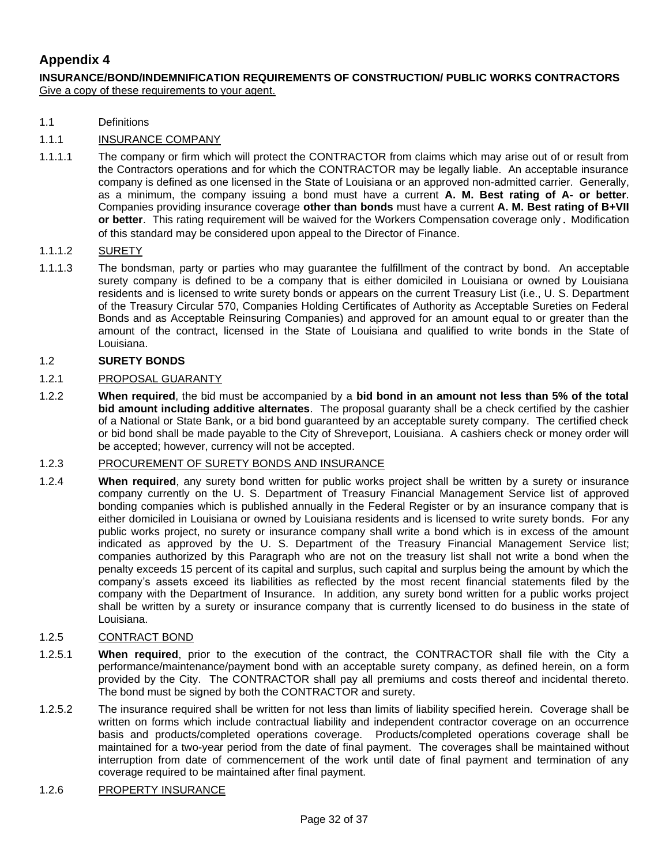### **Appendix 4**

**INSURANCE/BOND/INDEMNIFICATION REQUIREMENTS OF CONSTRUCTION/ PUBLIC WORKS CONTRACTORS** Give a copy of these requirements to your agent.

1.1 Definitions

#### 1.1.1 INSURANCE COMPANY

1.1.1.1 The company or firm which will protect the CONTRACTOR from claims which may arise out of or result from the Contractors operations and for which the CONTRACTOR may be legally liable. An acceptable insurance company is defined as one licensed in the State of Louisiana or an approved non-admitted carrier. Generally, as a minimum, the company issuing a bond must have a current **A. M. Best rating of A- or better**. Companies providing insurance coverage **other than bonds** must have a current **A. M. Best rating of B+VII or better**. This rating requirement will be waived for the Workers Compensation coverage only. Modification of this standard may be considered upon appeal to the Director of Finance.

#### 1.1.1.2 SURETY

1.1.1.3 The bondsman, party or parties who may guarantee the fulfillment of the contract by bond. An acceptable surety company is defined to be a company that is either domiciled in Louisiana or owned by Louisiana residents and is licensed to write surety bonds or appears on the current Treasury List (i.e., U. S. Department of the Treasury Circular 570, Companies Holding Certificates of Authority as Acceptable Sureties on Federal Bonds and as Acceptable Reinsuring Companies) and approved for an amount equal to or greater than the amount of the contract, licensed in the State of Louisiana and qualified to write bonds in the State of Louisiana.

#### 1.2 **SURETY BONDS**

#### 1.2.1 PROPOSAL GUARANTY

1.2.2 **When required**, the bid must be accompanied by a **bid bond in an amount not less than 5% of the total bid amount including additive alternates**. The proposal guaranty shall be a check certified by the cashier of a National or State Bank, or a bid bond guaranteed by an acceptable surety company. The certified check or bid bond shall be made payable to the City of Shreveport, Louisiana. A cashiers check or money order will be accepted; however, currency will not be accepted.

#### 1.2.3 PROCUREMENT OF SURETY BONDS AND INSURANCE

1.2.4 **When required**, any surety bond written for public works project shall be written by a surety or insurance company currently on the U. S. Department of Treasury Financial Management Service list of approved bonding companies which is published annually in the Federal Register or by an insurance company that is either domiciled in Louisiana or owned by Louisiana residents and is licensed to write surety bonds. For any public works project, no surety or insurance company shall write a bond which is in excess of the amount indicated as approved by the U. S. Department of the Treasury Financial Management Service list; companies authorized by this Paragraph who are not on the treasury list shall not write a bond when the penalty exceeds 15 percent of its capital and surplus, such capital and surplus being the amount by which the company's assets exceed its liabilities as reflected by the most recent financial statements filed by the company with the Department of Insurance. In addition, any surety bond written for a public works project shall be written by a surety or insurance company that is currently licensed to do business in the state of Louisiana.

#### 1.2.5 CONTRACT BOND

- 1.2.5.1 **When required**, prior to the execution of the contract, the CONTRACTOR shall file with the City a performance/maintenance/payment bond with an acceptable surety company, as defined herein, on a form provided by the City. The CONTRACTOR shall pay all premiums and costs thereof and incidental thereto. The bond must be signed by both the CONTRACTOR and surety.
- 1.2.5.2 The insurance required shall be written for not less than limits of liability specified herein. Coverage shall be written on forms which include contractual liability and independent contractor coverage on an occurrence basis and products/completed operations coverage. Products/completed operations coverage shall be maintained for a two-year period from the date of final payment. The coverages shall be maintained without interruption from date of commencement of the work until date of final payment and termination of any coverage required to be maintained after final payment.

#### 1.2.6 PROPERTY INSURANCE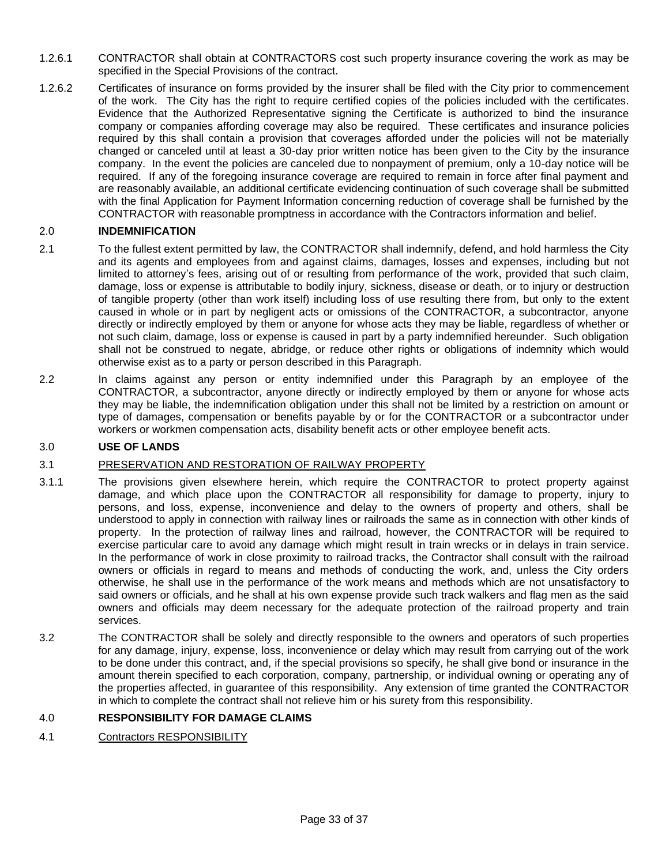- 1.2.6.1 CONTRACTOR shall obtain at CONTRACTORS cost such property insurance covering the work as may be specified in the Special Provisions of the contract.
- 1.2.6.2 Certificates of insurance on forms provided by the insurer shall be filed with the City prior to commencement of the work. The City has the right to require certified copies of the policies included with the certificates. Evidence that the Authorized Representative signing the Certificate is authorized to bind the insurance company or companies affording coverage may also be required. These certificates and insurance policies required by this shall contain a provision that coverages afforded under the policies will not be materially changed or canceled until at least a 30-day prior written notice has been given to the City by the insurance company. In the event the policies are canceled due to nonpayment of premium, only a 10-day notice will be required. If any of the foregoing insurance coverage are required to remain in force after final payment and are reasonably available, an additional certificate evidencing continuation of such coverage shall be submitted with the final Application for Payment Information concerning reduction of coverage shall be furnished by the CONTRACTOR with reasonable promptness in accordance with the Contractors information and belief.

#### 2.0 **INDEMNIFICATION**

- 2.1 To the fullest extent permitted by law, the CONTRACTOR shall indemnify, defend, and hold harmless the City and its agents and employees from and against claims, damages, losses and expenses, including but not limited to attorney's fees, arising out of or resulting from performance of the work, provided that such claim, damage, loss or expense is attributable to bodily injury, sickness, disease or death, or to injury or destruction of tangible property (other than work itself) including loss of use resulting there from, but only to the extent caused in whole or in part by negligent acts or omissions of the CONTRACTOR, a subcontractor, anyone directly or indirectly employed by them or anyone for whose acts they may be liable, regardless of whether or not such claim, damage, loss or expense is caused in part by a party indemnified hereunder. Such obligation shall not be construed to negate, abridge, or reduce other rights or obligations of indemnity which would otherwise exist as to a party or person described in this Paragraph.
- 2.2 In claims against any person or entity indemnified under this Paragraph by an employee of the CONTRACTOR, a subcontractor, anyone directly or indirectly employed by them or anyone for whose acts they may be liable, the indemnification obligation under this shall not be limited by a restriction on amount or type of damages, compensation or benefits payable by or for the CONTRACTOR or a subcontractor under workers or workmen compensation acts, disability benefit acts or other employee benefit acts.

#### 3.0 **USE OF LANDS**

#### 3.1 PRESERVATION AND RESTORATION OF RAILWAY PROPERTY

- 3.1.1 The provisions given elsewhere herein, which require the CONTRACTOR to protect property against damage, and which place upon the CONTRACTOR all responsibility for damage to property, injury to persons, and loss, expense, inconvenience and delay to the owners of property and others, shall be understood to apply in connection with railway lines or railroads the same as in connection with other kinds of property. In the protection of railway lines and railroad, however, the CONTRACTOR will be required to exercise particular care to avoid any damage which might result in train wrecks or in delays in train service. In the performance of work in close proximity to railroad tracks, the Contractor shall consult with the railroad owners or officials in regard to means and methods of conducting the work, and, unless the City orders otherwise, he shall use in the performance of the work means and methods which are not unsatisfactory to said owners or officials, and he shall at his own expense provide such track walkers and flag men as the said owners and officials may deem necessary for the adequate protection of the railroad property and train services.
- 3.2 The CONTRACTOR shall be solely and directly responsible to the owners and operators of such properties for any damage, injury, expense, loss, inconvenience or delay which may result from carrying out of the work to be done under this contract, and, if the special provisions so specify, he shall give bond or insurance in the amount therein specified to each corporation, company, partnership, or individual owning or operating any of the properties affected, in guarantee of this responsibility. Any extension of time granted the CONTRACTOR in which to complete the contract shall not relieve him or his surety from this responsibility.

#### 4.0 **RESPONSIBILITY FOR DAMAGE CLAIMS**

4.1 Contractors RESPONSIBILITY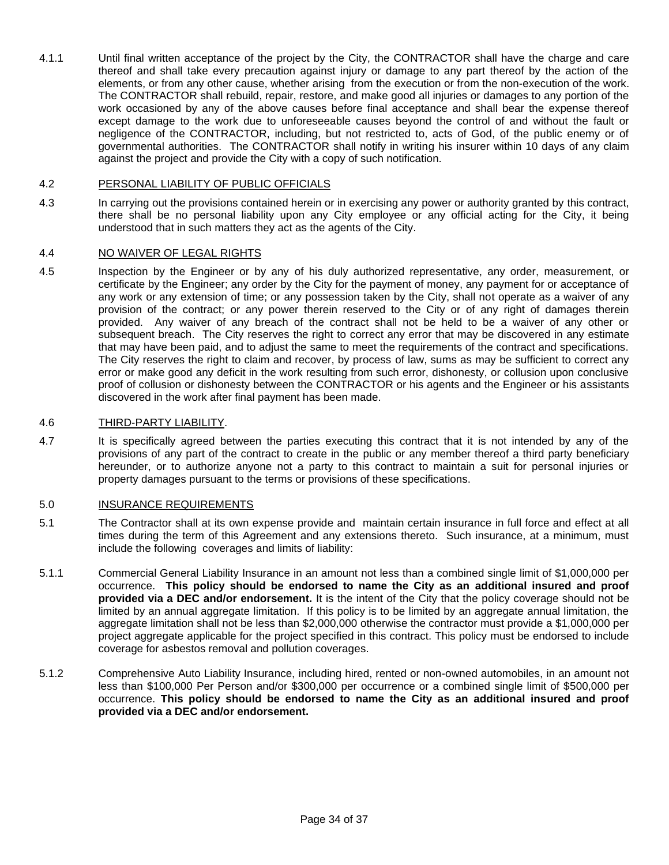4.1.1 Until final written acceptance of the project by the City, the CONTRACTOR shall have the charge and care thereof and shall take every precaution against injury or damage to any part thereof by the action of the elements, or from any other cause, whether arising from the execution or from the non-execution of the work. The CONTRACTOR shall rebuild, repair, restore, and make good all injuries or damages to any portion of the work occasioned by any of the above causes before final acceptance and shall bear the expense thereof except damage to the work due to unforeseeable causes beyond the control of and without the fault or negligence of the CONTRACTOR, including, but not restricted to, acts of God, of the public enemy or of governmental authorities. The CONTRACTOR shall notify in writing his insurer within 10 days of any claim against the project and provide the City with a copy of such notification.

#### 4.2 PERSONAL LIABILITY OF PUBLIC OFFICIALS

4.3 In carrying out the provisions contained herein or in exercising any power or authority granted by this contract, there shall be no personal liability upon any City employee or any official acting for the City, it being understood that in such matters they act as the agents of the City.

#### 4.4 NO WAIVER OF LEGAL RIGHTS

4.5 Inspection by the Engineer or by any of his duly authorized representative, any order, measurement, or certificate by the Engineer; any order by the City for the payment of money, any payment for or acceptance of any work or any extension of time; or any possession taken by the City, shall not operate as a waiver of any provision of the contract; or any power therein reserved to the City or of any right of damages therein provided. Any waiver of any breach of the contract shall not be held to be a waiver of any other or subsequent breach. The City reserves the right to correct any error that may be discovered in any estimate that may have been paid, and to adjust the same to meet the requirements of the contract and specifications. The City reserves the right to claim and recover, by process of law, sums as may be sufficient to correct any error or make good any deficit in the work resulting from such error, dishonesty, or collusion upon conclusive proof of collusion or dishonesty between the CONTRACTOR or his agents and the Engineer or his assistants discovered in the work after final payment has been made.

#### 4.6 THIRD-PARTY LIABILITY.

4.7 It is specifically agreed between the parties executing this contract that it is not intended by any of the provisions of any part of the contract to create in the public or any member thereof a third party beneficiary hereunder, or to authorize anyone not a party to this contract to maintain a suit for personal injuries or property damages pursuant to the terms or provisions of these specifications.

#### 5.0 INSURANCE REQUIREMENTS

- 5.1 The Contractor shall at its own expense provide and maintain certain insurance in full force and effect at all times during the term of this Agreement and any extensions thereto. Such insurance, at a minimum, must include the following coverages and limits of liability:
- 5.1.1 Commercial General Liability Insurance in an amount not less than a combined single limit of \$1,000,000 per occurrence. **This policy should be endorsed to name the City as an additional insured and proof provided via a DEC and/or endorsement.** It is the intent of the City that the policy coverage should not be limited by an annual aggregate limitation. If this policy is to be limited by an aggregate annual limitation, the aggregate limitation shall not be less than \$2,000,000 otherwise the contractor must provide a \$1,000,000 per project aggregate applicable for the project specified in this contract. This policy must be endorsed to include coverage for asbestos removal and pollution coverages.
- 5.1.2 Comprehensive Auto Liability Insurance, including hired, rented or non-owned automobiles, in an amount not less than \$100,000 Per Person and/or \$300,000 per occurrence or a combined single limit of \$500,000 per occurrence. **This policy should be endorsed to name the City as an additional insured and proof provided via a DEC and/or endorsement.**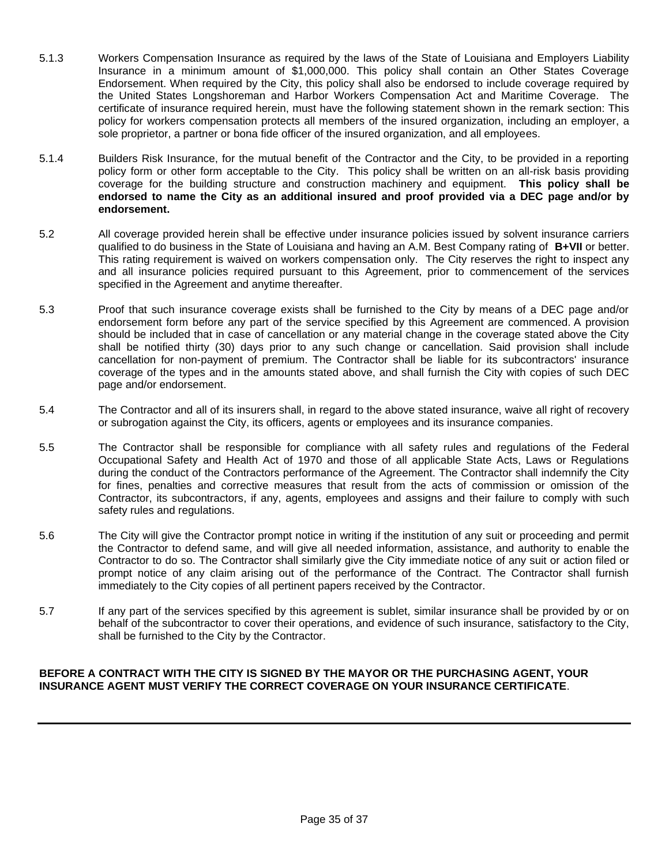- 5.1.3 Workers Compensation Insurance as required by the laws of the State of Louisiana and Employers Liability Insurance in a minimum amount of \$1,000,000. This policy shall contain an Other States Coverage Endorsement. When required by the City, this policy shall also be endorsed to include coverage required by the United States Longshoreman and Harbor Workers Compensation Act and Maritime Coverage. The certificate of insurance required herein, must have the following statement shown in the remark section: This policy for workers compensation protects all members of the insured organization, including an employer, a sole proprietor, a partner or bona fide officer of the insured organization, and all employees.
- 5.1.4 Builders Risk Insurance, for the mutual benefit of the Contractor and the City, to be provided in a reporting policy form or other form acceptable to the City. This policy shall be written on an all-risk basis providing coverage for the building structure and construction machinery and equipment. **This policy shall be endorsed to name the City as an additional insured and proof provided via a DEC page and/or by endorsement.**
- 5.2 All coverage provided herein shall be effective under insurance policies issued by solvent insurance carriers qualified to do business in the State of Louisiana and having an A.M. Best Company rating of **B+VII** or better. This rating requirement is waived on workers compensation only. The City reserves the right to inspect any and all insurance policies required pursuant to this Agreement, prior to commencement of the services specified in the Agreement and anytime thereafter.
- 5.3 Proof that such insurance coverage exists shall be furnished to the City by means of a DEC page and/or endorsement form before any part of the service specified by this Agreement are commenced. A provision should be included that in case of cancellation or any material change in the coverage stated above the City shall be notified thirty (30) days prior to any such change or cancellation. Said provision shall include cancellation for non-payment of premium. The Contractor shall be liable for its subcontractors' insurance coverage of the types and in the amounts stated above, and shall furnish the City with copies of such DEC page and/or endorsement.
- 5.4 The Contractor and all of its insurers shall, in regard to the above stated insurance, waive all right of recovery or subrogation against the City, its officers, agents or employees and its insurance companies.
- 5.5 The Contractor shall be responsible for compliance with all safety rules and regulations of the Federal Occupational Safety and Health Act of 1970 and those of all applicable State Acts, Laws or Regulations during the conduct of the Contractors performance of the Agreement. The Contractor shall indemnify the City for fines, penalties and corrective measures that result from the acts of commission or omission of the Contractor, its subcontractors, if any, agents, employees and assigns and their failure to comply with such safety rules and regulations.
- 5.6 The City will give the Contractor prompt notice in writing if the institution of any suit or proceeding and permit the Contractor to defend same, and will give all needed information, assistance, and authority to enable the Contractor to do so. The Contractor shall similarly give the City immediate notice of any suit or action filed or prompt notice of any claim arising out of the performance of the Contract. The Contractor shall furnish immediately to the City copies of all pertinent papers received by the Contractor.
- 5.7 If any part of the services specified by this agreement is sublet, similar insurance shall be provided by or on behalf of the subcontractor to cover their operations, and evidence of such insurance, satisfactory to the City, shall be furnished to the City by the Contractor.

#### **BEFORE A CONTRACT WITH THE CITY IS SIGNED BY THE MAYOR OR THE PURCHASING AGENT, YOUR INSURANCE AGENT MUST VERIFY THE CORRECT COVERAGE ON YOUR INSURANCE CERTIFICATE**.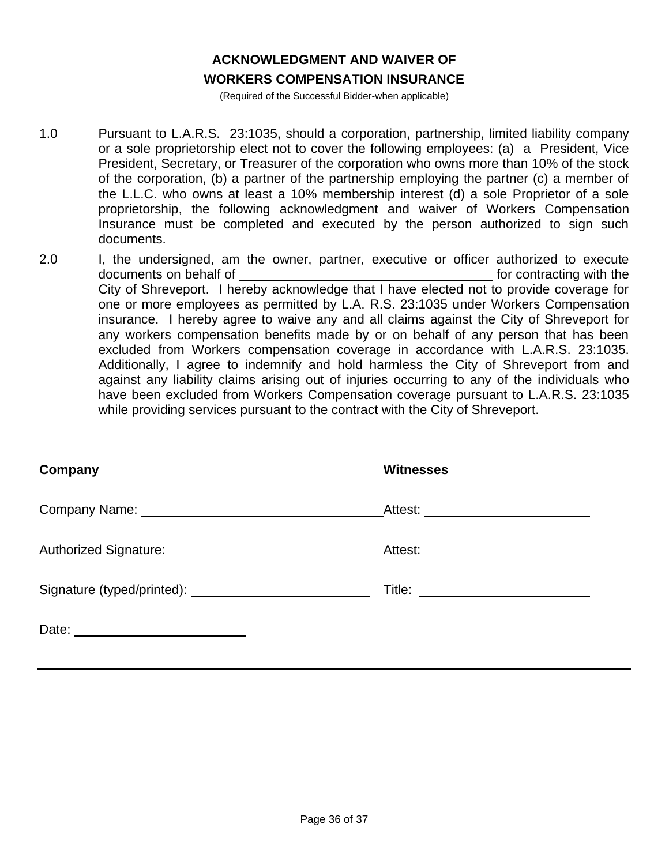# **ACKNOWLEDGMENT AND WAIVER OF**

### **WORKERS COMPENSATION INSURANCE**

(Required of the Successful Bidder-when applicable)

- 1.0 Pursuant to L.A.R.S. 23:1035, should a corporation, partnership, limited liability company or a sole proprietorship elect not to cover the following employees: (a) a President, Vice President, Secretary, or Treasurer of the corporation who owns more than 10% of the stock of the corporation, (b) a partner of the partnership employing the partner (c) a member of the L.L.C. who owns at least a 10% membership interest (d) a sole Proprietor of a sole proprietorship, the following acknowledgment and waiver of Workers Compensation Insurance must be completed and executed by the person authorized to sign such documents.
- 2.0 I, the undersigned, am the owner, partner, executive or officer authorized to execute documents on behalf of formulation of formulation of formulation of formulation of the formulation of the documents on the document of the document of the document of the document of the document of the document of the doc City of Shreveport. I hereby acknowledge that I have elected not to provide coverage for one or more employees as permitted by L.A. R.S. 23:1035 under Workers Compensation insurance. I hereby agree to waive any and all claims against the City of Shreveport for any workers compensation benefits made by or on behalf of any person that has been excluded from Workers compensation coverage in accordance with L.A.R.S. 23:1035. Additionally, I agree to indemnify and hold harmless the City of Shreveport from and against any liability claims arising out of injuries occurring to any of the individuals who have been excluded from Workers Compensation coverage pursuant to L.A.R.S. 23:1035 while providing services pursuant to the contract with the City of Shreveport.

| Company | <b>Witnesses</b>                      |
|---------|---------------------------------------|
|         |                                       |
|         | Attest: _____________________________ |
|         |                                       |
|         |                                       |